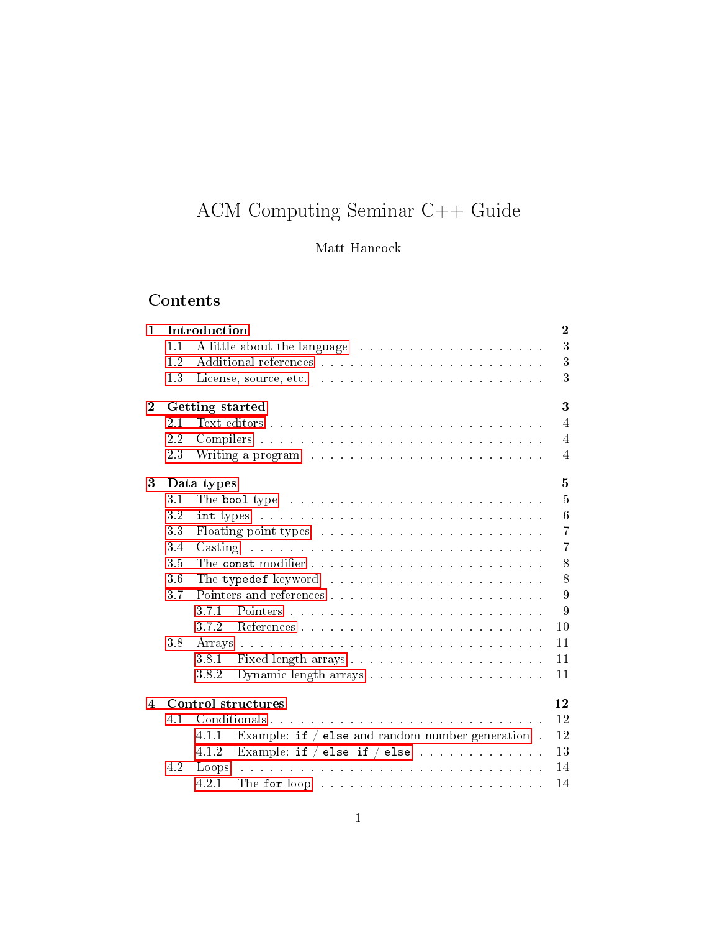# ACM Computing Seminar C++ Guide

## Matt Hancock

# Contents

| $\mathbf{1}$ |                                 | Introduction                                                                                                                                                                                                                   | $\overline{2}$ |  |  |  |  |
|--------------|---------------------------------|--------------------------------------------------------------------------------------------------------------------------------------------------------------------------------------------------------------------------------|----------------|--|--|--|--|
|              | 1.1                             | A little about the language resonance in the series of the language of the series of the series of the series of the series of the series of the series of the series of the series of the series of the series of the series  | 3              |  |  |  |  |
|              | 1.2                             |                                                                                                                                                                                                                                | 3              |  |  |  |  |
|              | 1.3                             | License, source, etc.                                                                                                                                                                                                          | 3              |  |  |  |  |
| $\bf{2}$     | 3<br>Getting started            |                                                                                                                                                                                                                                |                |  |  |  |  |
|              | 2.1                             |                                                                                                                                                                                                                                | $\overline{4}$ |  |  |  |  |
|              | 2.2                             |                                                                                                                                                                                                                                | $\overline{4}$ |  |  |  |  |
|              | 23                              | Writing a program contract the contract of the contract of the contract of the contract of the contract of the contract of the contract of the contract of the contract of the contract of the contract of the contract of the | $\overline{4}$ |  |  |  |  |
| 3            | $\overline{5}$<br>Data types    |                                                                                                                                                                                                                                |                |  |  |  |  |
|              | 3.1                             | The bool type received and the contract of the bool type and contract the contract of the bool.                                                                                                                                | 5              |  |  |  |  |
|              | 3.2                             |                                                                                                                                                                                                                                | 6              |  |  |  |  |
|              | 33                              |                                                                                                                                                                                                                                | $\overline{7}$ |  |  |  |  |
|              | 3.4                             | Casting research is a construction of the construction of the construction of the construction of the construction of the construction of the construction of the construction of the construction of the construction of the  | $\overline{7}$ |  |  |  |  |
|              | 3.5                             |                                                                                                                                                                                                                                | 8              |  |  |  |  |
|              | $3\;6$                          |                                                                                                                                                                                                                                | 8              |  |  |  |  |
|              | 3.7                             |                                                                                                                                                                                                                                | 9              |  |  |  |  |
|              |                                 | 3.7.1                                                                                                                                                                                                                          | 9              |  |  |  |  |
|              |                                 | 372                                                                                                                                                                                                                            | 10             |  |  |  |  |
|              | 3.8                             |                                                                                                                                                                                                                                | 11             |  |  |  |  |
|              |                                 | 3.8.1                                                                                                                                                                                                                          | 11             |  |  |  |  |
|              |                                 | 382                                                                                                                                                                                                                            | 11             |  |  |  |  |
| 4            | 12<br><b>Control structures</b> |                                                                                                                                                                                                                                |                |  |  |  |  |
|              | 4.1                             |                                                                                                                                                                                                                                | 12             |  |  |  |  |
|              |                                 | Example: if $/$ else and random number generation.<br>12<br>4.1.1                                                                                                                                                              |                |  |  |  |  |
|              |                                 | Example: if $/$ else if $/$ else<br>4.1.2                                                                                                                                                                                      | 13             |  |  |  |  |
|              | 4.2                             | Loops                                                                                                                                                                                                                          | 14             |  |  |  |  |
|              |                                 | 4.2.1<br>The for loop research is a series of the series of the series of the series of the series of the series of the                                                                                                        | 14             |  |  |  |  |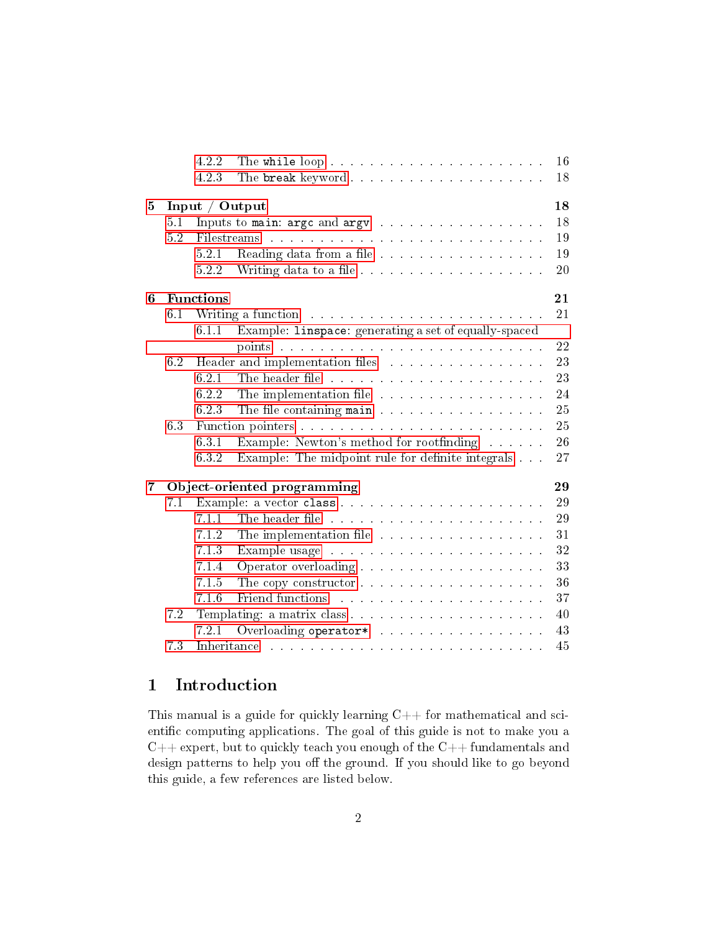|   |                        | 4.2.2                             | 16<br>The while loop                                                                                                                                                                                                                 |  |  |  |
|---|------------------------|-----------------------------------|--------------------------------------------------------------------------------------------------------------------------------------------------------------------------------------------------------------------------------------|--|--|--|
|   |                        | 4.2.3                             | 18<br>The break keyword                                                                                                                                                                                                              |  |  |  |
| 5 | 18<br>Input / $Output$ |                                   |                                                                                                                                                                                                                                      |  |  |  |
|   | 5.1                    |                                   | 18<br>Inputs to main: argc and argv                                                                                                                                                                                                  |  |  |  |
|   | 5.2                    | Filestreams                       | 19<br>.<br>In the contract of the contract of the contract of the contract of the contract of the contract of the contract                                                                                                           |  |  |  |
|   |                        | 5.2.1                             | 19<br>Reading data from a file                                                                                                                                                                                                       |  |  |  |
|   |                        | 5.2.2                             | 20                                                                                                                                                                                                                                   |  |  |  |
| 6 | <b>Functions</b><br>21 |                                   |                                                                                                                                                                                                                                      |  |  |  |
|   | 6.1                    |                                   | 21<br>Writing a function and a series and a series of the series of the series of the series of the series of the series of the series of the series of the series of the series of the series of the series of the series of the se |  |  |  |
|   |                        | 6.1.1                             | Example: linspace: generating a set of equally-spaced                                                                                                                                                                                |  |  |  |
|   |                        |                                   | 22<br>points received a received and contract the contract of the contract of the contract of the contract of the contract of the contract of the contract of the contract of the contract of the contract of the contract of the co |  |  |  |
|   | 6.2                    |                                   | 23<br>Header and implementation files                                                                                                                                                                                                |  |  |  |
|   |                        | 6.2.1                             | 23<br>The header file resonance in the contract of the header file resonance in the set of the set of the set of the                                                                                                                 |  |  |  |
|   |                        | 6.2.2                             | 24<br>The implementation file                                                                                                                                                                                                        |  |  |  |
|   |                        | 6.23                              | 25<br>The file containing main                                                                                                                                                                                                       |  |  |  |
|   | 6.3                    |                                   | 25                                                                                                                                                                                                                                   |  |  |  |
|   |                        | 631                               | 26<br>Example: Newton's method for rootfinding                                                                                                                                                                                       |  |  |  |
|   |                        | 632                               | 27<br>Example: The midpoint rule for definite integrals                                                                                                                                                                              |  |  |  |
| 7 |                        | 29<br>Object-oriented programming |                                                                                                                                                                                                                                      |  |  |  |
|   | 7.1                    |                                   | 29                                                                                                                                                                                                                                   |  |  |  |
|   |                        | 7.1.1                             | 29                                                                                                                                                                                                                                   |  |  |  |
|   |                        | 7.1.2                             | The implementation file<br>31                                                                                                                                                                                                        |  |  |  |
|   |                        | 7.13                              | 32<br>Example usage entertainment and the state of the state of the state of the state of the state of the state of the state of the state of the state of the state of the state of the state of the state of the state of the stat |  |  |  |
|   |                        | 7.1.4                             | 33                                                                                                                                                                                                                                   |  |  |  |
|   |                        | 7.1.5                             | 36                                                                                                                                                                                                                                   |  |  |  |
|   |                        | 7.1.6                             | 37<br>Friend functions and all the contract of the contract of the contract of the contract of the contract of the contract of the contract of the contract of the contract of the contract of the contract of the contract of the c |  |  |  |
|   | 7.2                    |                                   | 40                                                                                                                                                                                                                                   |  |  |  |
|   |                        | 7.2.1                             | 43<br>Overloading operator* in the second second second second second second second second second second second second second second second second second second second second second second second second second second second seco |  |  |  |
|   | 73                     | Inheritance                       | 45<br>والمتعاونة والمتعاونة والمتعاونة والمتعاونة والمتعاونة والمتعاونة والمتعاونة والمعاونة                                                                                                                                         |  |  |  |

## <span id="page-1-0"></span>1 Introduction

This manual is a guide for quickly learning  $C++$  for mathematical and scientific computing applications. The goal of this guide is not to make you a  $C++$  expert, but to quickly teach you enough of the  $C++$  fundamentals and design patterns to help you off the ground. If you should like to go beyond this guide, a few references are listed below.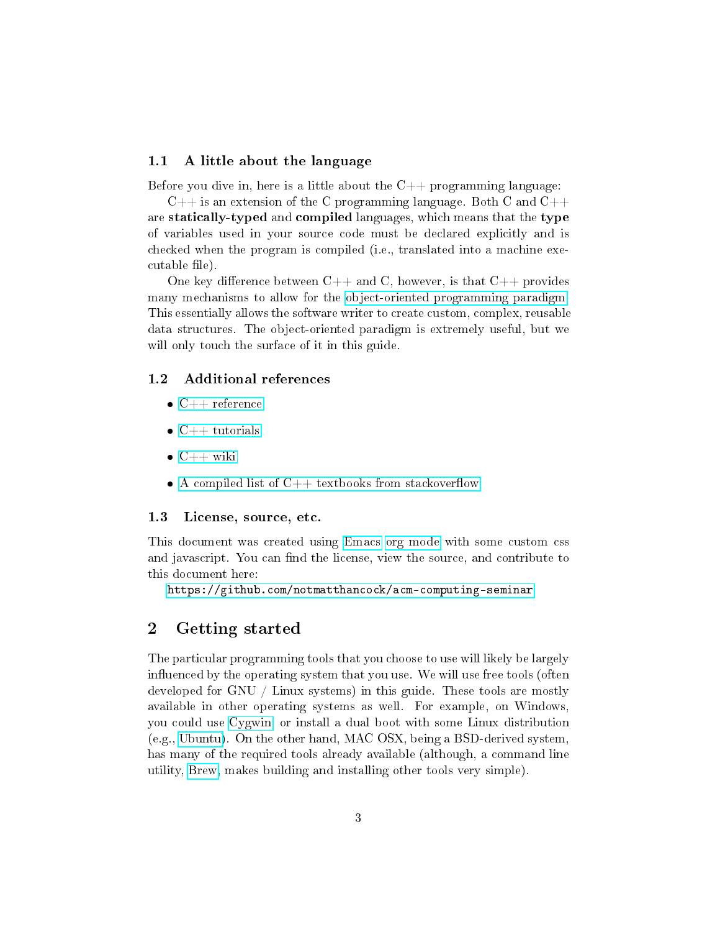#### <span id="page-2-0"></span>1.1 A little about the language

Before you dive in, here is a little about the  $C_{++}$  programming language:

 $C++$  is an extension of the C programming language. Both C and  $C++$ are statically-typed and compiled languages, which means that the type of variables used in your source code must be declared explicitly and is checked when the program is compiled (i.e., translated into a machine executable file).

One key difference between  $C_{++}$  and C, however, is that  $C_{++}$  provides many mechanisms to allow for the [object-oriented programming paradigm.](https://en.wikipedia.org/wiki/Object-oriented_programming) This essentially allows the software writer to create custom, complex, reusable data structures. The object-oriented paradigm is extremely useful, but we will only touch the surface of it in this guide.

#### <span id="page-2-1"></span>1.2 Additional references

- $\bullet$  [C++ reference](http://cppreference.com)
- $\bullet$  [C++ tutorials](http://www.cplusplus.com/doc/tutorial)
- $\bullet$  [C++ wiki](https://en.wikipedia.org/wiki/C%2B%2B)
- $\bullet$  A compiled list of C++ textbooks from stackoverflow

#### <span id="page-2-2"></span>1.3 License, source, etc.

This document was created using [Emacs](https://www.gnu.org/software/emacs/) [org mode](http://orgmode.org/) with some custom css and javascript. You can find the license, view the source, and contribute to this document here:

<https://github.com/notmatthancock/acm-computing-seminar>

## <span id="page-2-3"></span>2 Getting started

The particular programming tools that you choose to use will likely be largely influenced by the operating system that you use. We will use free tools (often developed for GNU / Linux systems) in this guide. These tools are mostly available in other operating systems as well. For example, on Windows, you could use [Cygwin,](https://www.cygwin.com/) or install a dual boot with some Linux distribution (e.g., [Ubuntu\)](http://www.ubuntu.com/). On the other hand, MAC OSX, being a BSD-derived system, has many of the required tools already available (although, a command line utility, [Brew,](http://brew.sh) makes building and installing other tools very simple).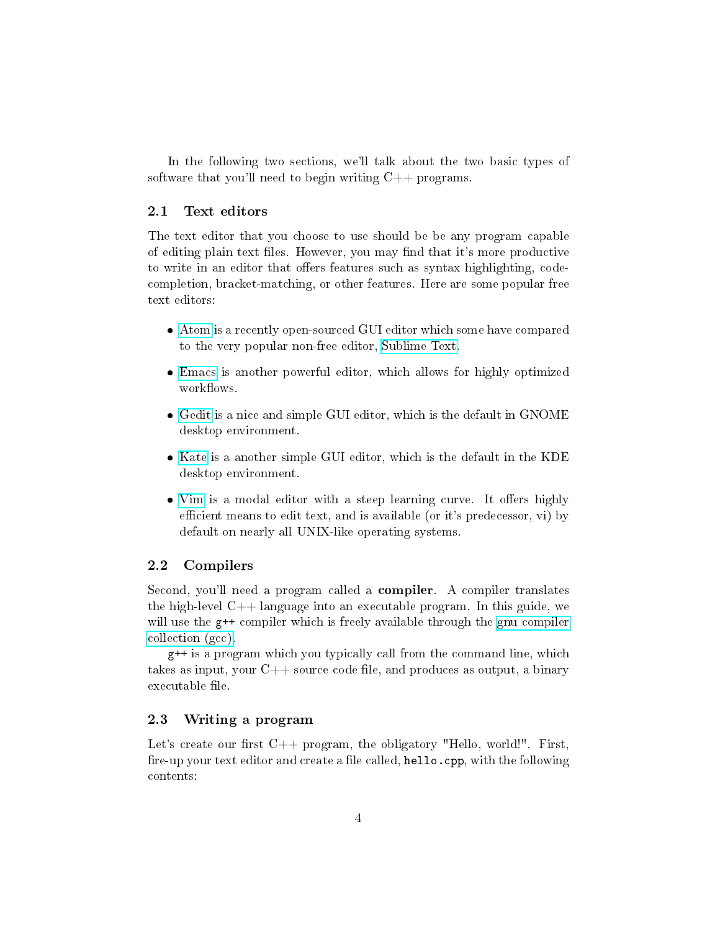In the following two sections, we'll talk about the two basic types of software that you'll need to begin writing  $C++$  programs.

#### <span id="page-3-0"></span>2.1 Text editors

The text editor that you choose to use should be be any program capable of editing plain text files. However, you may find that it's more productive to write in an editor that offers features such as syntax highlighting, codecompletion, bracket-matching, or other features. Here are some popular free text editors:

- [Atom](https://atom.io/) is a recently open-sourced GUI editor which some have compared to the very popular non-free editor, [Sublime Text.](https://sublimetext.com)
- [Emacs](https://www.gnu.org/software/emacs/) is another powerful editor, which allows for highly optimized workflows.
- [Gedit](https://wiki.gnome.org/Apps/Gedit) is a nice and simple GUI editor, which is the default in GNOME desktop environment.
- [Kate](https://kate-editor.org) is a another simple GUI editor, which is the default in the KDE desktop environment.
- [Vim](http://www.vim.org) is a modal editor with a steep learning curve. It offers highly efficient means to edit text, and is available (or it's predecessor, vi) by default on nearly all UNIX-like operating systems.

#### <span id="page-3-1"></span>2.2 Compilers

Second, you'll need a program called a **compiler**. A compiler translates the high-level  $C++$  language into an executable program. In this guide, we will use the  $g$ ++ compiler which is freely available through the [gnu compiler](https://gcc.gnu.org/) [collection \(gcc\).](https://gcc.gnu.org/)

g++ is a program which you typically call from the command line, which takes as input, your  $C_{++}$  source code file, and produces as output, a binary executable file.

#### <span id="page-3-2"></span>2.3 Writing a program

Let's create our first  $C++$  program, the obligatory "Hello, world!". First, fire-up your text editor and create a file called, hello.cpp, with the following contents: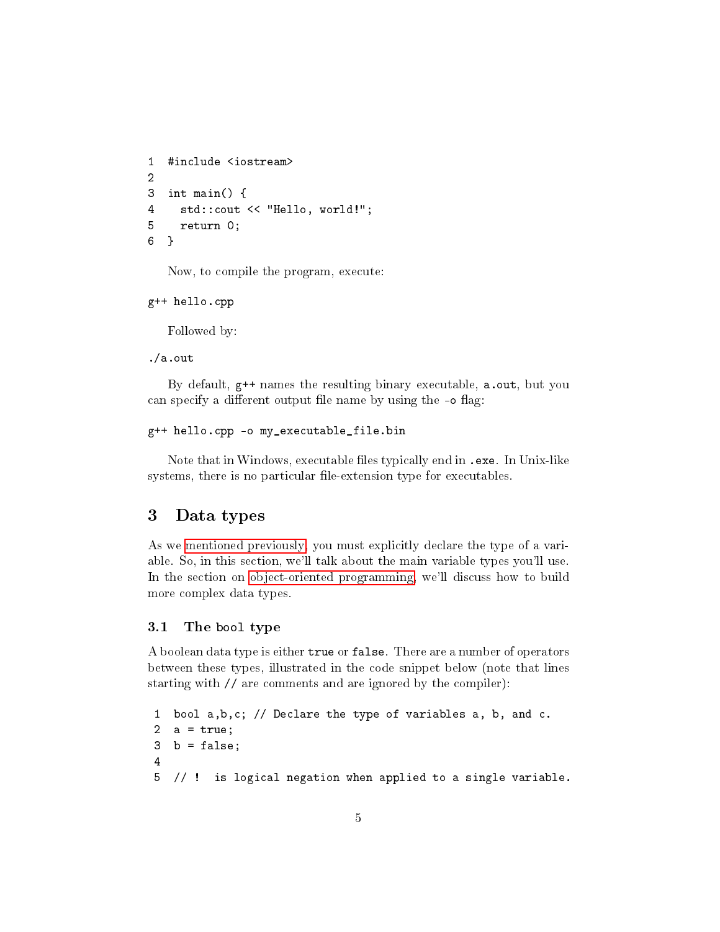```
1 #include <iostream>
2
3 int main() {
4 std::cout << "Hello, world!";
5 return 0;
6 }
```
Now, to compile the program, execute:

```
g++ hello.cpp
```
Followed by:

./a.out

By default, g++ names the resulting binary executable, a.out, but you can specify a different output file name by using the -o flag:

```
g++ hello.cpp -o my_executable_file.bin
```
Note that in Windows, executable files typically end in .exe. In Unix-like systems, there is no particular file-extension type for executables.

## <span id="page-4-0"></span>3 Data types

As we [mentioned previously,](#page-2-0) you must explicitly declare the type of a variable. So, in this section, we'll talk about the main variable types you'll use. In the section on [object-oriented programming,](#page-28-0) we'll discuss how to build more complex data types.

#### <span id="page-4-1"></span>3.1 The bool type

A boolean data type is either true or false. There are a number of operators between these types, illustrated in the code snippet below (note that lines starting with // are comments and are ignored by the compiler):

```
1 bool a,b,c; // Declare the type of variables a, b, and c.
2 a = true;
3 b = false;
4
5 // ! is logical negation when applied to a single variable.
```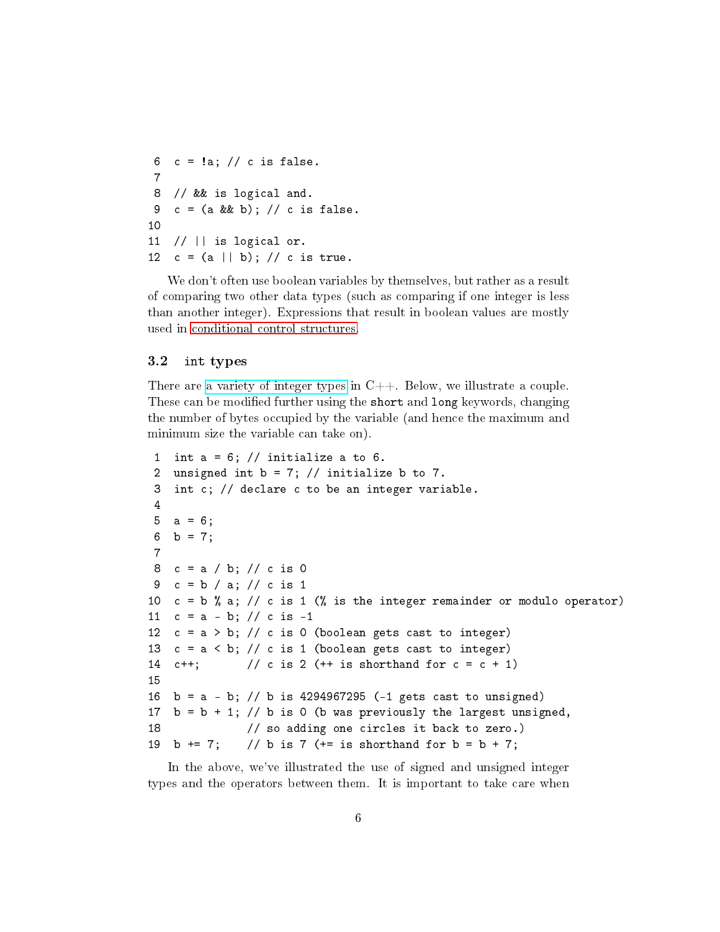6  $c = !a$ ; // c is false. 7 8 // && is logical and. 9  $c = (a \& b);$  // c is false. 10 11 // || is logical or. 12  $c = (a || b)$ ; // c is true.

We don't often use boolean variables by themselves, but rather as a result of comparing two other data types (such as comparing if one integer is less than another integer). Expressions that result in boolean values are mostly used in [conditional control structures.](#page-11-1)

#### <span id="page-5-0"></span>3.2 int types

There are [a variety of integer types](http://en.cppreference.com/w/cpp/language/types) in  $C++$ . Below, we illustrate a couple. These can be modified further using the short and long keywords, changing the number of bytes occupied by the variable (and hence the maximum and minimum size the variable can take on).

```
1 int a = 6; // initialize a to 6.
 2 unsigned int b = 7; // initialize b to 7.
 3 int c; // declare c to be an integer variable.
 4
 5 \text{ a} = 6;
 6 b = 7;
 7
 8 c = a / b; // c is 0
 9 c = b / a; // c is 1
10 c = b % a; // c is 1 (% is the integer remainder or modulo operator)
11 c = a - b; // c is -1
12 c = a > b; // c is 0 (boolean gets cast to integer)
13 c = a < b; // c is 1 (boolean gets cast to integer)
14 c++; // c is 2 (++ is shorthand for <math>c = c + 1</math>)15
16 b = a - b; // b is 4294967295 (-1 gets cast to unsigned)
17 b = b + 1; // b is 0 (b was previously the largest unsigned,
18 // so adding one circles it back to zero.)
19 b += 7; // b is 7 (+= is shorthand for b = b + 7;
```
In the above, we've illustrated the use of signed and unsigned integer types and the operators between them. It is important to take care when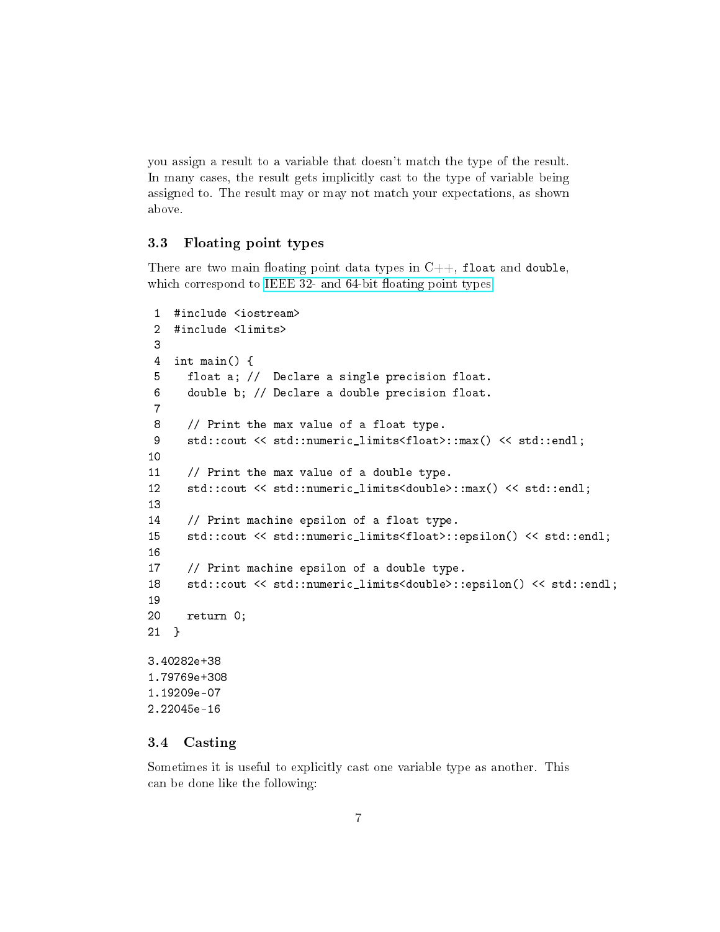you assign a result to a variable that doesn't match the type of the result. In many cases, the result gets implicitly cast to the type of variable being assigned to. The result may or may not match your expectations, as shown above.

#### <span id="page-6-0"></span>3.3 Floating point types

There are two main floating point data types in  $C++$ , float and double, which correspond to IEEE 32- and 64-bit floating point types.

```
1 #include <iostream>
 2 #include <limits>
 3
 4 int main() {
 5 float a; // Declare a single precision float.
 6 double b; // Declare a double precision float.
 7
 8 // Print the max value of a float type.
 9 std::cout << std::numeric_limits<float>::max() << std::endl;
10
11 // Print the max value of a double type.
12 std::cout << std::numeric_limits<double>::max() << std::endl;
13
14 // Print machine epsilon of a float type.
15 std::cout << std::numeric_limits<float>::epsilon() << std::endl;
16
17 // Print machine epsilon of a double type.
18 std::cout << std::numeric_limits<double>::epsilon() << std::endl;
19
20 return 0;
21 }
3.40282e+38
1.79769e+308
1.19209e-07
2.22045e-16
```
#### <span id="page-6-1"></span>3.4 Casting

Sometimes it is useful to explicitly cast one variable type as another. This can be done like the following: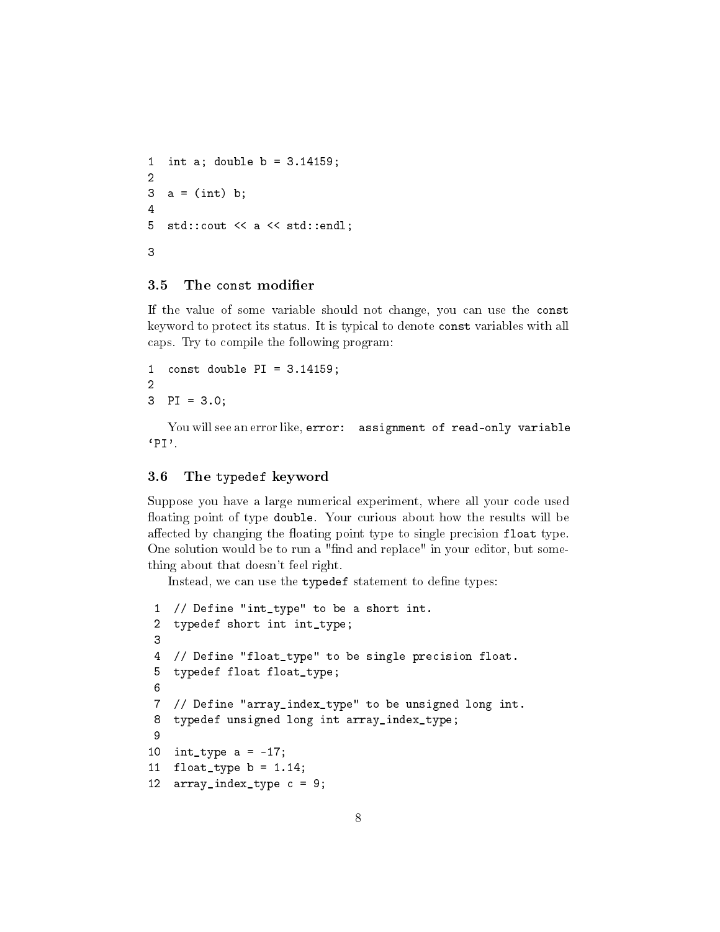```
1 int a; double b = 3.14159;
2
3 a = (int) b;4
5 std::cout << a << std::endl;
3
```
## <span id="page-7-0"></span>3.5 The const modifier

If the value of some variable should not change, you can use the const keyword to protect its status. It is typical to denote const variables with all caps. Try to compile the following program:

1 const double  $PI = 3.14159$ ; 2 3 PI = 3.0;

You will see an error like, error: assignment of read-only variable  $'PT'.$ 

#### <span id="page-7-1"></span>3.6 The typedef keyword

Suppose you have a large numerical experiment, where all your code used floating point of type double. Your curious about how the results will be affected by changing the floating point type to single precision float type. One solution would be to run a "find and replace" in your editor, but something about that doesn't feel right.

Instead, we can use the typedef statement to define types:

```
1 // Define "int_type" to be a short int.
2 typedef short int int_type;
3
4 // Define "float_type" to be single precision float.
5 typedef float float_type;
6
7 // Define "array_index_type" to be unsigned long int.
8 typedef unsigned long int array_index_type;
9
10 int_type a = -17;
11 float_type = 1.14;12 array_index_type c = 9;
```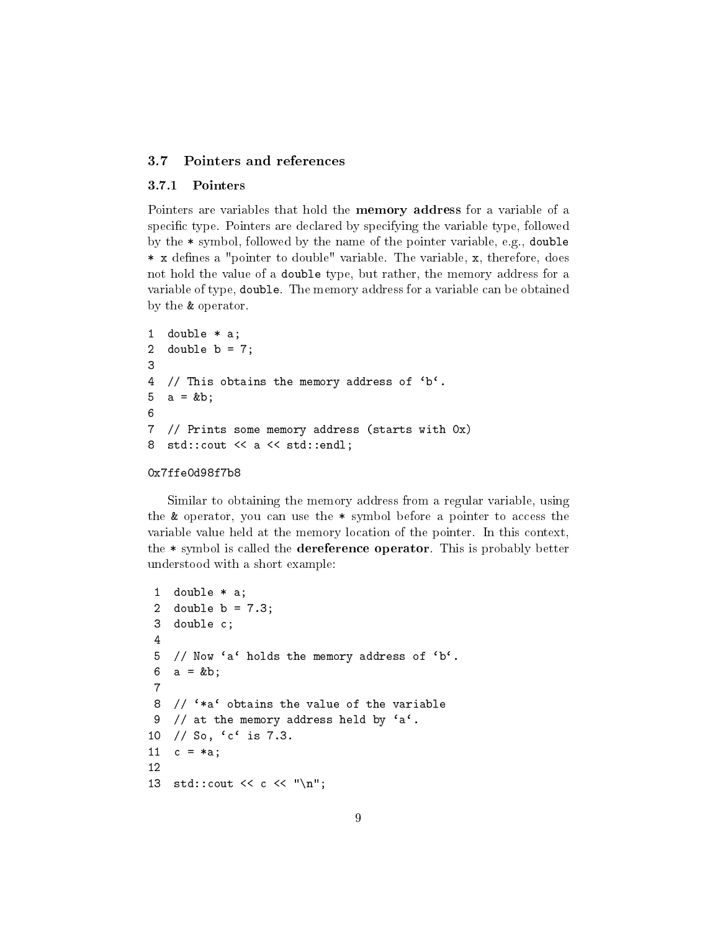#### <span id="page-8-0"></span>3.7 Pointers and references

#### <span id="page-8-1"></span>3.7.1 Pointers

Pointers are variables that hold the memory address for a variable of a specific type. Pointers are declared by specifying the variable type, followed by the \* symbol, followed by the name of the pointer variable, e.g., double \* x defines a "pointer to double" variable. The variable, x, therefore, does not hold the value of a double type, but rather, the memory address for a variable of type, double. The memory address for a variable can be obtained by the & operator.

```
1 double * a;
2 double b = 7;
3
4 // This obtains the memory address of 'b'.
5 \text{ a} = k b;6
7 // Prints some memory address (starts with 0x)
8 std::cout << a << std::endl;
```
#### 0x7ffe0d98f7b8

Similar to obtaining the memory address from a regular variable, using the & operator, you can use the \* symbol before a pointer to access the variable value held at the memory location of the pointer. In this context, the \* symbol is called the dereference operator. This is probably better understood with a short example:

```
1 double * a;
 2 double b = 7.3;
 3 double c;
 4
 5 // Now 'a' holds the memory address of 'b'.
 6 a = kb;7
 8 \frac{1}{2} \frac{1}{2} \frac{1}{2} \frac{1}{2} obtains the value of the variable
 9 // at the memory address held by a^i.
10 // So, `c` is 7.3.
11 c = *a;12
13 std::cout << c << "\n";
```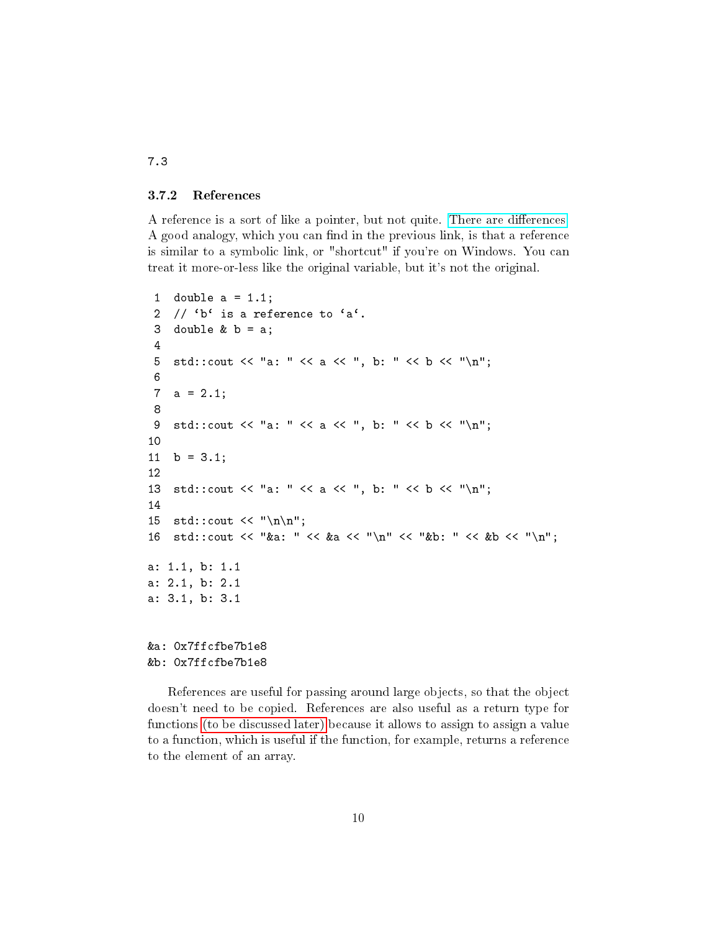#### <span id="page-9-0"></span>3.7.2 References

A reference is a sort of like a pointer, but not quite. There are differences. A good analogy, which you can find in the previous link, is that a reference is similar to a symbolic link, or "shortcut" if you're on Windows. You can treat it more-or-less like the original variable, but it's not the original.

```
1 double a = 1.1;
 2 // b^t is a reference to a^t.
 3 double k b = a;
 4
 5 std::cout << "a: " << a << ", b: " << b << "\n";
 6
 7 a = 2.1;
 8
 9 std::cout << "a: " << a << ", b: " << b << "\n";
10
11 b = 3.1;
12
13 std::cout << "a: " << a << ", b: " << b << "\n";
14
15 std::cout \langle \langle \rangle \rangle "\n\n";
16 std::cout << "&a: " << &a << "\n" << "&b; " << &b << "\n";
a: 1.1, b: 1.1
a: 2.1, b: 2.1
a: 3.1, b: 3.1
&a: 0x7ffcfbe7b1e8
&b: 0x7ffcfbe7b1e8
```
References are useful for passing around large objects, so that the object doesn't need to be copied. References are also useful as a return type for functions [\(to be discussed later\)](#page-20-0) because it allows to assign to assign a value to a function, which is useful if the function, for example, returns a reference to the element of an array.

7.3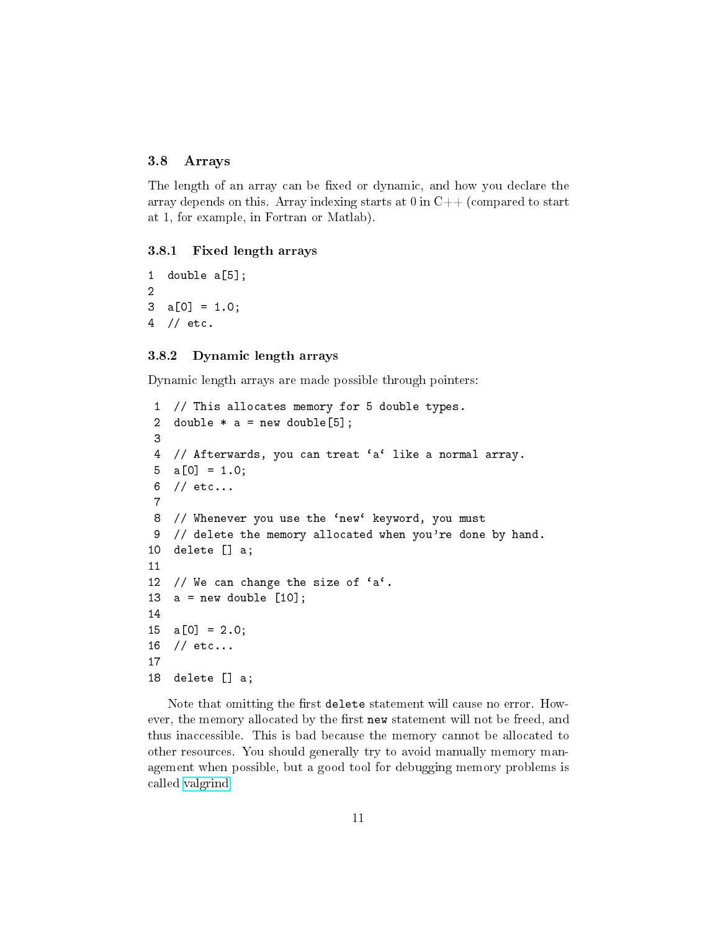## <span id="page-10-0"></span>3.8 Arrays

The length of an array can be fixed or dynamic, and how you declare the array depends on this. Array indexing starts at  $0$  in  $C++$  (compared to start at 1, for example, in Fortran or Matlab).

#### <span id="page-10-1"></span>3.8.1 Fixed length arrays

1 double a[5]; 2 3 a[0] = 1.0; 4 // etc.

#### <span id="page-10-2"></span>3.8.2 Dynamic length arrays

Dynamic length arrays are made possible through pointers:

```
1 // This allocates memory for 5 double types.
 2 double * a = new double[5];
 3
 4 // Afterwards, you can treat 'a' like a normal array.
 5 \text{ a} [0] = 1.0;6 // etc...
 7
 8 // Whenever you use the 'new' keyword, you must
 9 // delete the memory allocated when you're done by hand.
10 delete [] a;
11
12 // We can change the size of a^c.
13 a = new double [10];14
15 \quad a[0] = 2.0;16 // etc...
17
18 delete [] a;
```
Note that omitting the first delete statement will cause no error. However, the memory allocated by the first new statement will not be freed, and thus inaccessible. This is bad because the memory cannot be allocated to other resources. You should generally try to avoid manually memory management when possible, but a good tool for debugging memory problems is called [valgrind.](http://valgrind.org/)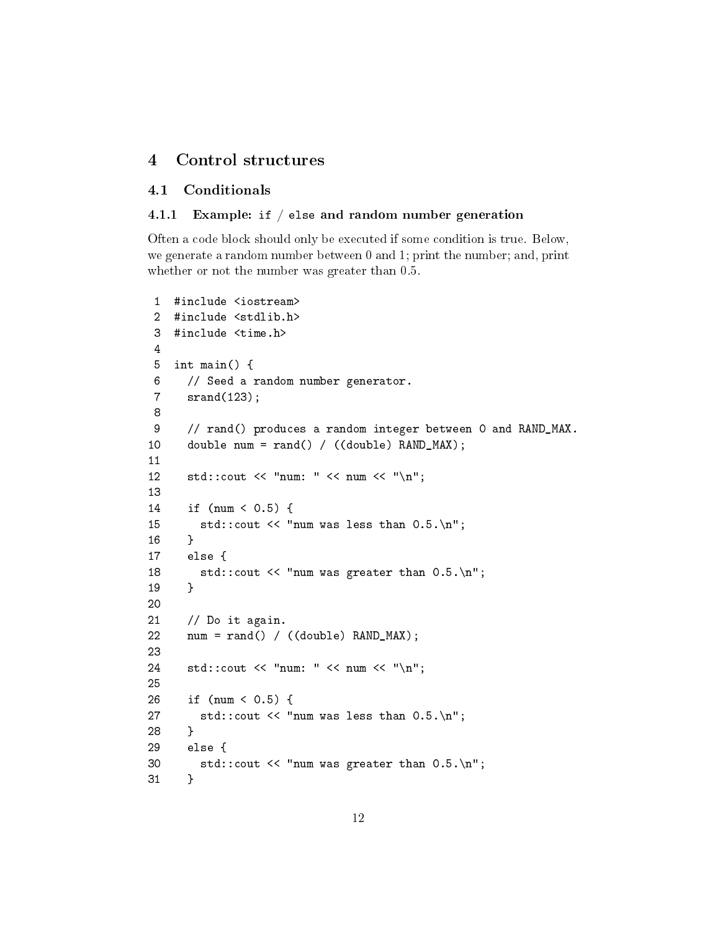## <span id="page-11-0"></span>4 Control structures

#### <span id="page-11-1"></span>4.1 Conditionals

#### <span id="page-11-2"></span>4.1.1 Example: if / else and random number generation

Often a code block should only be executed if some condition is true. Below, we generate a random number between 0 and 1; print the number; and, print whether or not the number was greater than 0.5.

```
1 #include <iostream>
 2 #include <stdlib.h>
 3 #include <time.h>
 4
 5 int main() {
 6 // Seed a random number generator.
 7 srand(123);
 8
 9 // rand() produces a random integer between 0 and RAND_MAX.
10 double num = rand() / ((double) RAND_MAX);
11
12 std::cout << "num: " << num << "\n";
13
14 if (num < 0.5) {
15 std::cout << "num was less than 0.5.\n";
16 }
17 else {
18 std::cout << "num was greater than 0.5.\n";
19 }
20
21 // Do it again.
22 num = rand() / ((double) RAND_MAX);
23
24 std::cout << "num: " << num << "\n";
25
26 if (num < 0.5) {
27 std::cout \lt\lt "num was less than 0.5.\n\cdot\ldots";
28 }
29 else {
30 std::cout << "num was greater than 0.5.\n";
31 }
```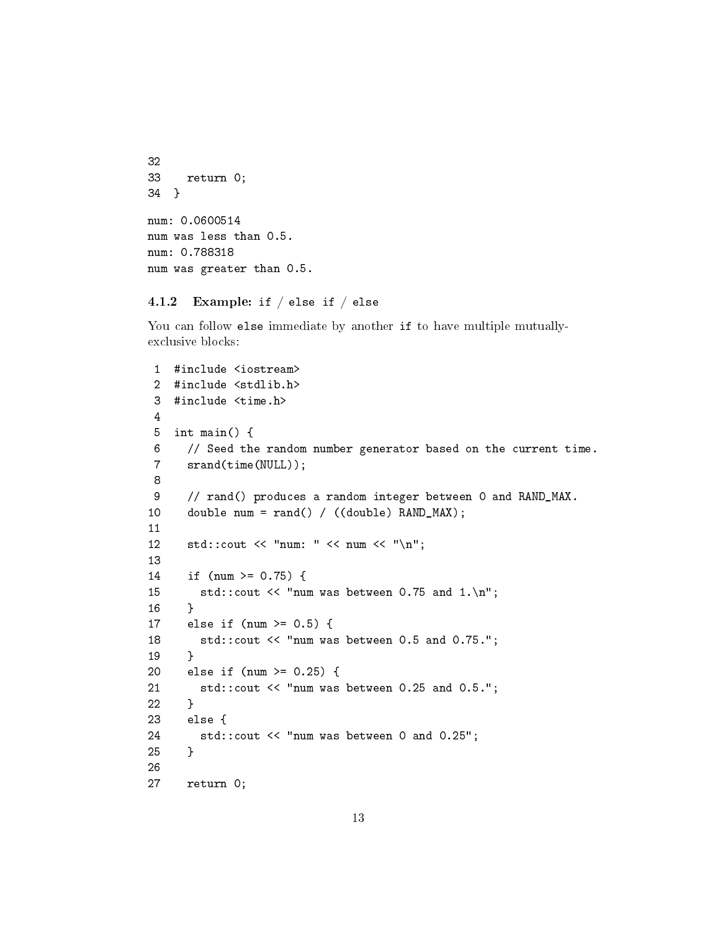```
32
33 return 0;
34 }
num: 0.0600514
num was less than 0.5.
num: 0.788318
num was greater than 0.5.
```
#### <span id="page-12-0"></span>4.1.2 Example: if  $/$  else if  $/$  else

You can follow else immediate by another if to have multiple mutuallyexclusive blocks:

```
1 #include <iostream>
2 #include <stdlib.h>
3 #include <time.h>
4
5 int main() {
6 // Seed the random number generator based on the current time.
7 srand(time(NULL));
8
9 // rand() produces a random integer between 0 and RAND_MAX.
10 double num = rand() / ((double) RAND_MAX);
11
12 std::cout << "num: " << num << "\n";
13
14 if (num >= 0.75) {
15 std::cout << "num was between 0.75 and 1.\n";
16 }
17 else if (num >= 0.5) {
18 std::cout << "num was between 0.5 and 0.75.";
19 }
20 else if (num >= 0.25) {
21 std::cout << "num was between 0.25 and 0.5.";
22 }
23 else {
24 std::cout << "num was between 0 and 0.25";
25 }
26
27 return 0;
```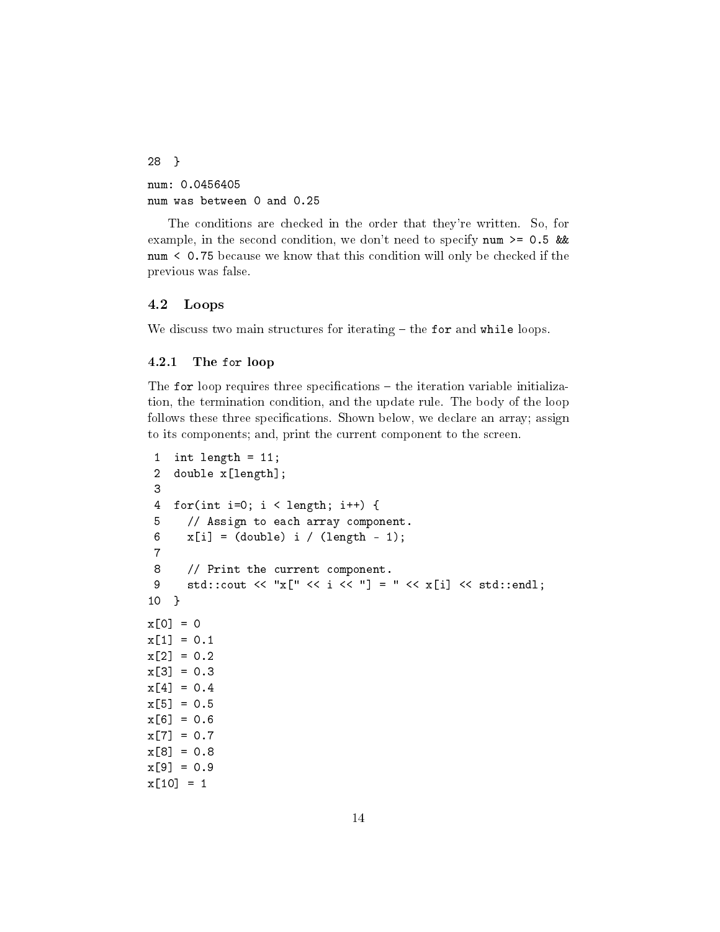28 } num: 0.0456405 num was between 0 and 0.25

The conditions are checked in the order that they're written. So, for example, in the second condition, we don't need to specify num  $>= 0.5$  && num < 0.75 because we know that this condition will only be checked if the previous was false.

#### <span id="page-13-0"></span>4.2 Loops

We discuss two main structures for iterating  $-$  the for and while loops.

#### <span id="page-13-1"></span>4.2.1 The for loop

The for loop requires three specifications  $-$  the iteration variable initialization, the termination condition, and the update rule. The body of the loop follows these three specifications. Shown below, we declare an array; assign to its components; and, print the current component to the screen.

```
1 int length = 11;
 2 double x[length];
 3
 4 for(int i=0; i < length; i++) {
 5 // Assign to each array component.
 6 x[i] = (double) i / (length - 1);7
 8 // Print the current component.
 9 std::cout << "x[" << i << "] = " << x[i] << std::endl;
10 }
x[0] = 0x[1] = 0.1x[2] = 0.2x[3] = 0.3x[4] = 0.4x[5] = 0.5x[6] = 0.6x[7] = 0.7x[8] = 0.8x[9] = 0.9x[10] = 1
```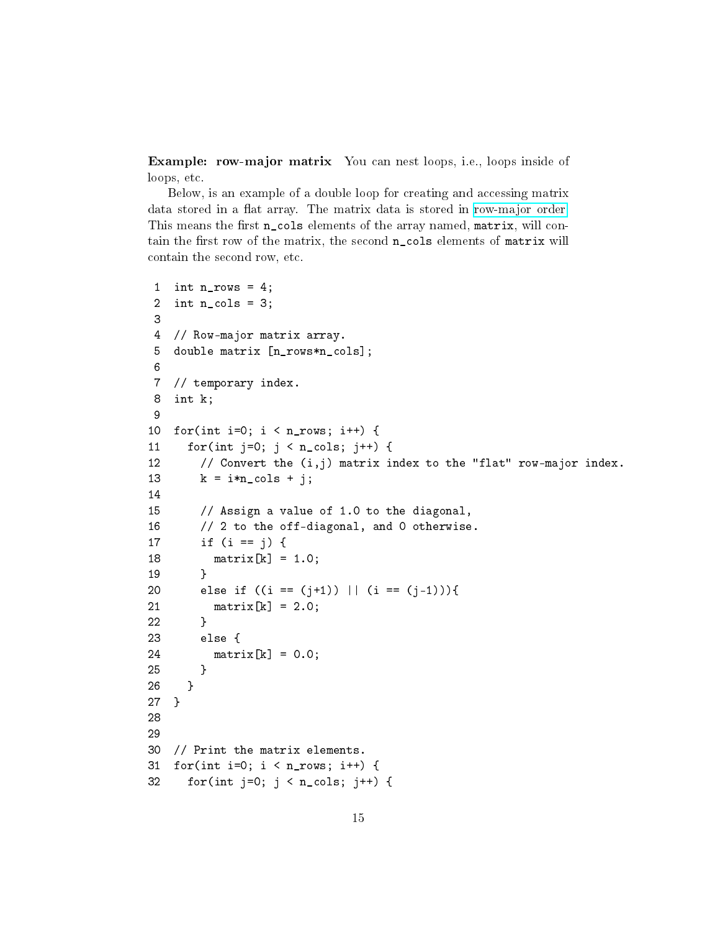Example: row-major matrix You can nest loops, i.e., loops inside of loops, etc.

Below, is an example of a double loop for creating and accessing matrix data stored in a flat array. The matrix data is stored in [row-major order.](https://en.wikipedia.org/wiki/Row-major-order) This means the first n\_cols elements of the array named, matrix, will contain the first row of the matrix, the second n\_cols elements of matrix will contain the second row, etc.

```
1 int n rows = 4;
2 int n_{cols} = 3;
3
4 // Row-major matrix array.
5 double matrix [n rows*n cols];
6
7 // temporary index.
8 int k;
9
10 for(int i=0; i < n_{rows}; i++) {
11 for(int j=0; j < n_{\text{cols}}; j++) {
12 // Convert the (i,j) matrix index to the "flat" row-major index.
13 k = i*n\_cols + j;14
15 // Assign a value of 1.0 to the diagonal,
16 // 2 to the off-diagonal, and 0 otherwise.
17 if (i == j) {
18 matrix[k] = 1.0;
19 }
20 else if ((i == (j+1)) || (i == (j-1))){
21 matrix[k] = 2.0;22 }
23 else {
24 matrix[k] = 0.0;
25 }
26 }
27 }
28
29
30 // Print the matrix elements.
31 for(int i=0; i < n_rows; i++) {
32 for(int j=0; j < n_cols; j++) {
```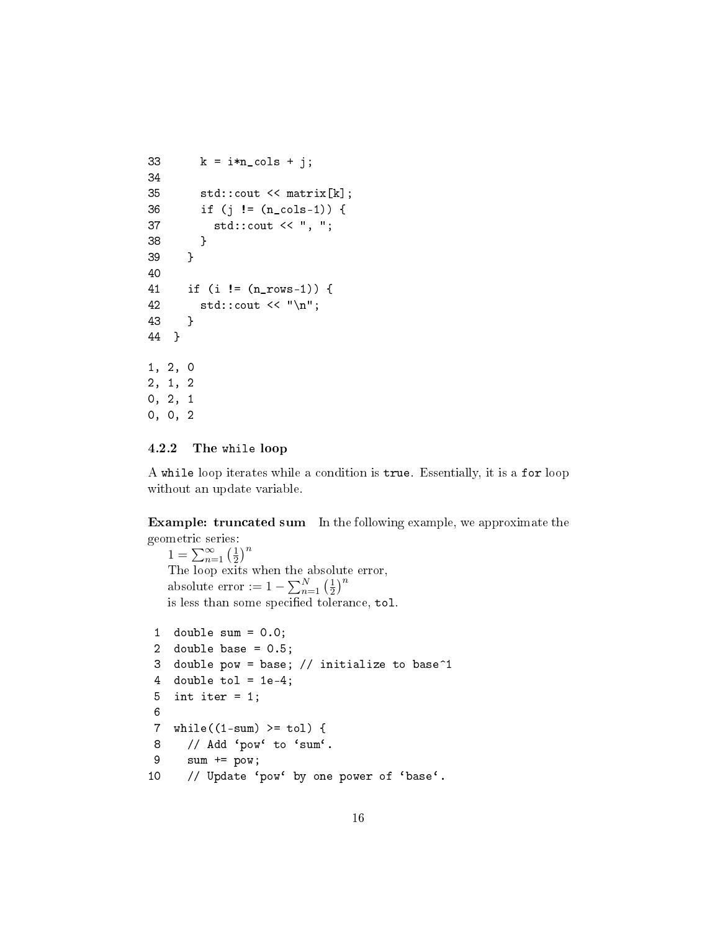```
33 k = i*n\_cols + j;34
35 std::cout << matrix[k];
36 if (j != (n_cols-1)) {
37 std::cout << ", ";
38 }
39 }
40
41 if (i != (n_rows-1)) {
42 std::cout \langle \langle \nabla \cdot \rangle std::
43 }
44 }
1, 2, 0
2, 1, 2
0, 2, 1
0, 0, 2
```
#### <span id="page-15-0"></span>4.2.2 The while loop

A while loop iterates while a condition is true. Essentially, it is a for loop without an update variable.

Example: truncated sum In the following example, we approximate the geometric series:

 $1 = \sum_{n=1}^{\infty} \left(\frac{1}{2}\right)$  $\frac{1}{2}$ <sup>n</sup> The loop exits when the absolute error, absolute error :=  $1 - \sum_{n=1}^{N} \left(\frac{1}{2}\right)$  $\frac{1}{2}$ <sup>n</sup> is less than some specified tolerance, tol.

```
1 double sum = 0.0;
2 double base = 0.5;
3 double pow = base; // initialize to base^1
4 double tol = 1e-4;
5 int iter = 1;
6
7 while((1-sum) >= tol) {
8 // Add 'pow' to 'sum'.
9 sum += pow;
10 // Update 'pow' by one power of 'base'.
```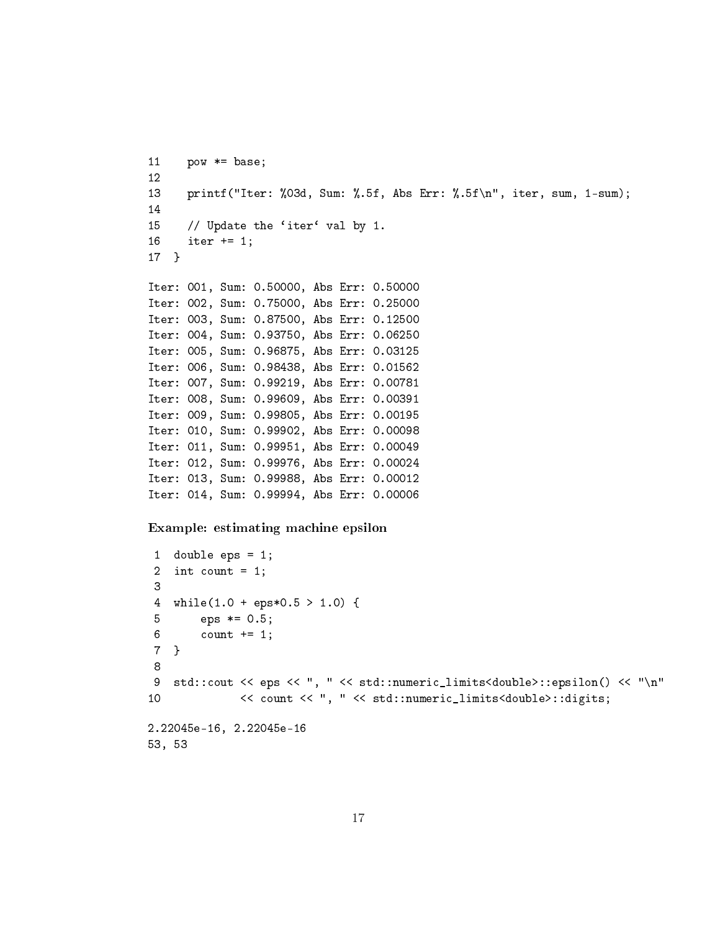```
11 pow *= base;
12
13 printf("Iter: %03d, Sum: %.5f, Abs Err: %.5f\n", iter, sum, 1-sum);
14
15 // Update the 'iter' val by 1.
16 iter += 1;
17 }
Iter: 001, Sum: 0.50000, Abs Err: 0.50000
Iter: 002, Sum: 0.75000, Abs Err: 0.25000
Iter: 003, Sum: 0.87500, Abs Err: 0.12500
Iter: 004, Sum: 0.93750, Abs Err: 0.06250
Iter: 005, Sum: 0.96875, Abs Err: 0.03125
Iter: 006, Sum: 0.98438, Abs Err: 0.01562
Iter: 007, Sum: 0.99219, Abs Err: 0.00781
Iter: 008, Sum: 0.99609, Abs Err: 0.00391
Iter: 009, Sum: 0.99805, Abs Err: 0.00195
Iter: 010, Sum: 0.99902, Abs Err: 0.00098
Iter: 011, Sum: 0.99951, Abs Err: 0.00049
Iter: 012, Sum: 0.99976, Abs Err: 0.00024
Iter: 013, Sum: 0.99988, Abs Err: 0.00012
Iter: 014, Sum: 0.99994, Abs Err: 0.00006
Example: estimating machine epsilon
1 double eps = 1;
 2 int count = 1;
 3
 4 while(1.0 + eps*0.5 > 1.0) {
5 eps *= 0.5;
 6 count += 1;
```
9 std::cout << eps << ", " << std::numeric\_limits<double>::epsilon() << "\n"

```
10 << count << ", " << std::numeric_limits<double>::digits;
2.22045e-16, 2.22045e-16
```

```
53, 53
```
7 } 8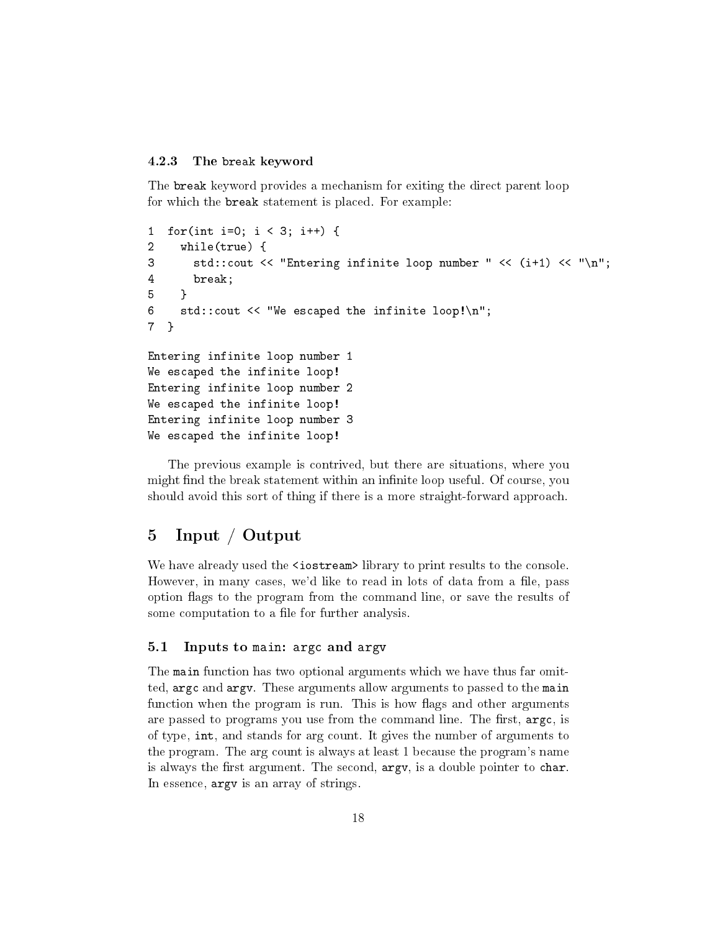#### <span id="page-17-0"></span>4.2.3 The break keyword

The break keyword provides a mechanism for exiting the direct parent loop for which the break statement is placed. For example:

```
1 for(int i=0; i < 3; i++) {
2 while(true) {
3 std::cout << "Entering infinite loop number " << (i+1) << "\n";
4 break;
5 }
6 std::cout << "We escaped the infinite loop!\n";
7 }
Entering infinite loop number 1
We escaped the infinite loop!
Entering infinite loop number 2
We escaped the infinite loop!
Entering infinite loop number 3
We escaped the infinite loop!
```
The previous example is contrived, but there are situations, where you might find the break statement within an infinite loop useful. Of course, you should avoid this sort of thing if there is a more straight-forward approach.

## <span id="page-17-1"></span>5 Input / Output

We have already used the  $\leq$  istream library to print results to the console. However, in many cases, we'd like to read in lots of data from a file, pass option flags to the program from the command line, or save the results of some computation to a file for further analysis.

#### <span id="page-17-2"></span>5.1 Inputs to main: argc and argv

The main function has two optional arguments which we have thus far omitted, argc and argv. These arguments allow arguments to passed to the main function when the program is run. This is how flags and other arguments are passed to programs you use from the command line. The first,  $\arg c$ , is of type, int, and stands for arg count. It gives the number of arguments to the program. The arg count is always at least 1 because the program's name is always the first argument. The second, argv, is a double pointer to char. In essence, argv is an array of strings.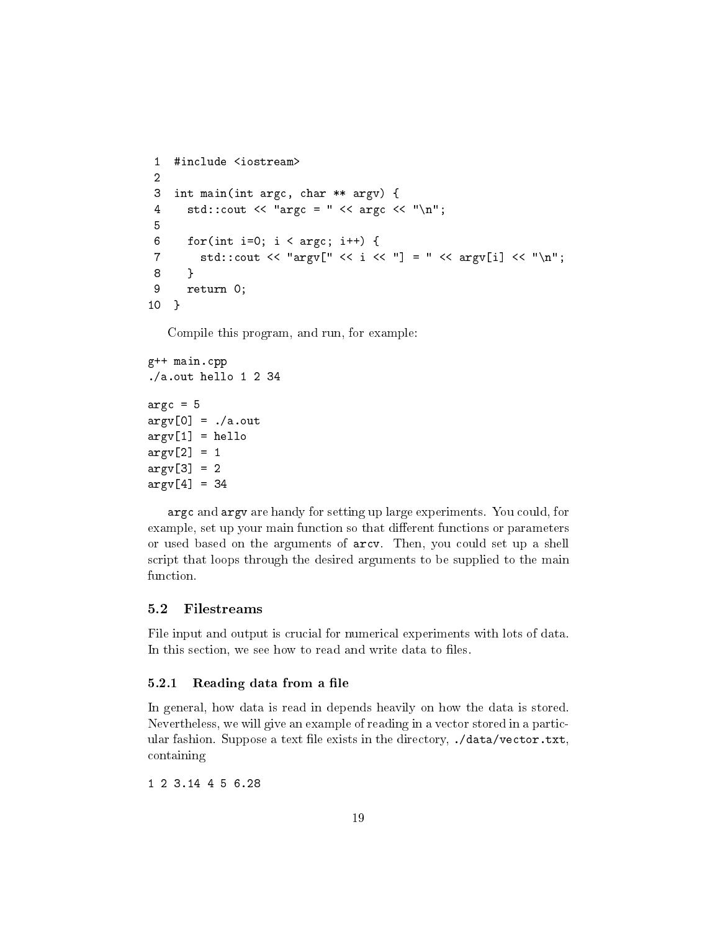```
1 #include <iostream>
2
3 int main(int argc, char ** argv) {
4 std::cout << "argc = " << argc << "\n";
5
6 for(int i=0; i < argc; i++) {
7 std::cout << "argv[" << i << "] = " << argv[i] << "\n";
8 }
9 return 0;
10 }
```
Compile this program, and run, for example:

```
g++ main.cpp
./a.out hello 1 2 34
\arg c = 5argv[0] = ./a.outargv[1] = helloargv[2] = 1\arg v[3] = 2argv[4] = 34
```
argc and argv are handy for setting up large experiments. You could, for example, set up your main function so that different functions or parameters or used based on the arguments of arcv. Then, you could set up a shell script that loops through the desired arguments to be supplied to the main function.

## <span id="page-18-0"></span>5.2 Filestreams

File input and output is crucial for numerical experiments with lots of data. In this section, we see how to read and write data to files.

#### <span id="page-18-1"></span>5.2.1 Reading data from a file

In general, how data is read in depends heavily on how the data is stored. Nevertheless, we will give an example of reading in a vector stored in a particular fashion. Suppose a text file exists in the directory, ./data/vector.txt, containing

1 2 3.14 4 5 6.28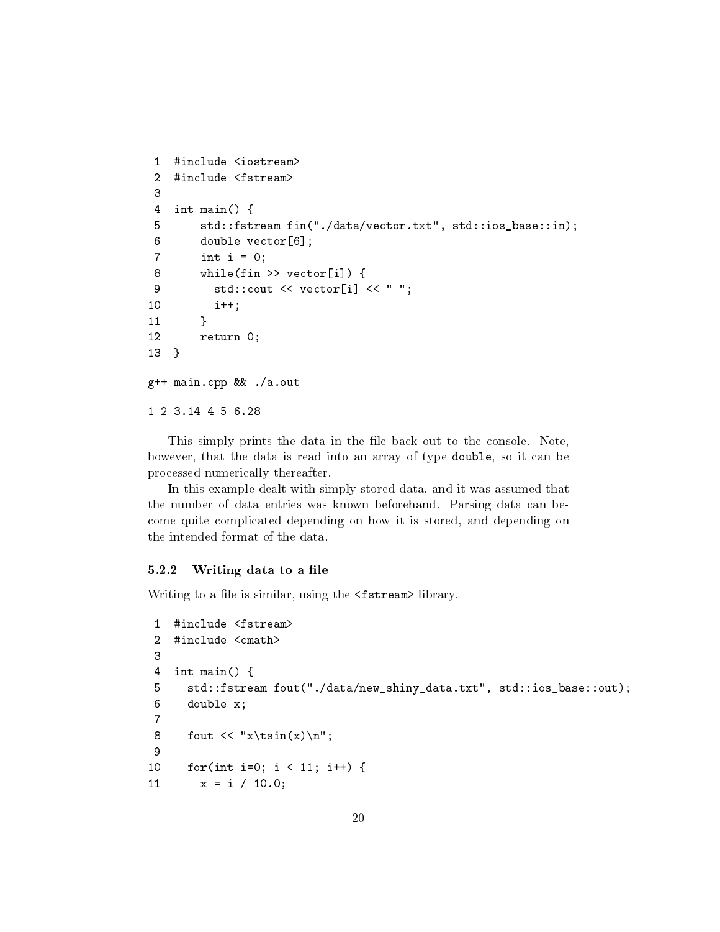```
1 #include <iostream>
2 #include <fstream>
3
4 int main() {
5 std::fstream fin("./data/vector.txt", std::ios_base::in);
6 double vector[6];
7 int i = 0;
8 while(fin >> vector[i]) {
9 std::cout << vector[i] << " ";
10 i++;
11 }
12 return 0;
13 }
g++ main.cpp && ./a.out
1 2 3.14 4 5 6.28
```
This simply prints the data in the file back out to the console. Note, however, that the data is read into an array of type double, so it can be processed numerically thereafter.

In this example dealt with simply stored data, and it was assumed that the number of data entries was known beforehand. Parsing data can become quite complicated depending on how it is stored, and depending on the intended format of the data.

#### <span id="page-19-0"></span> $5.2.2$  Writing data to a file

Writing to a file is similar, using the <fstream> library.

```
1 #include <fstream>
 2 #include <cmath>
 3
 4 int main() {
 5 std::fstream fout("./data/new_shiny_data.txt", std::ios_base::out);
 6 double x;
 7
 8 fout \langle x \rangle fout \langle x \rangle fout \langle x \rangle9
10 for(int i=0; i < 11; i++) {
11 x = i / 10.0;
```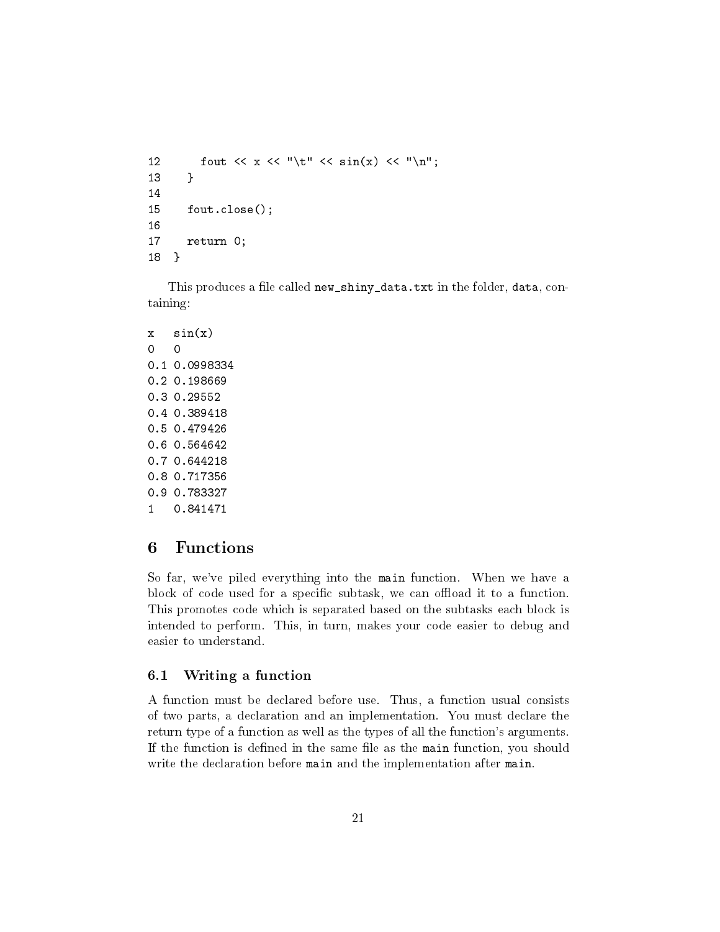```
12 fout \langle x \rangle \langle x \rangle fout \langle x \rangle to \langle x \rangle to \langle x \rangle and \langle x \rangle for \langle x \rangle for \langle x \rangle and \langle x \rangle for \langle x \rangle for \langle x \rangle for \langle x \rangle for \langle x \rangle for \langle x \rangle for \langle x \rangle for \langle x \rangle for \langle x \rangle for \langle x \rangle for \langle x \13 }
14
15 fout.close();
16
17 return 0;
 18 }
```
This produces a file called new\_shiny\_data.txt in the folder, data, containing:

```
x sin(x)0 0
0.1 0.0998334
0.2 0.198669
0.3 0.29552
0.4 0.389418
0.5 0.479426
0.6 0.564642
0.7 0.644218
0.8 0.717356
0.9 0.783327
1 0.841471
```
## <span id="page-20-0"></span>6 Functions

So far, we've piled everything into the main function. When we have a block of code used for a specific subtask, we can offload it to a function. This promotes code which is separated based on the subtasks each block is intended to perform. This, in turn, makes your code easier to debug and easier to understand.

#### <span id="page-20-1"></span>6.1 Writing a function

A function must be declared before use. Thus, a function usual consists of two parts, a declaration and an implementation. You must declare the return type of a function as well as the types of all the function's arguments. If the function is defined in the same file as the main function, you should write the declaration before main and the implementation after main.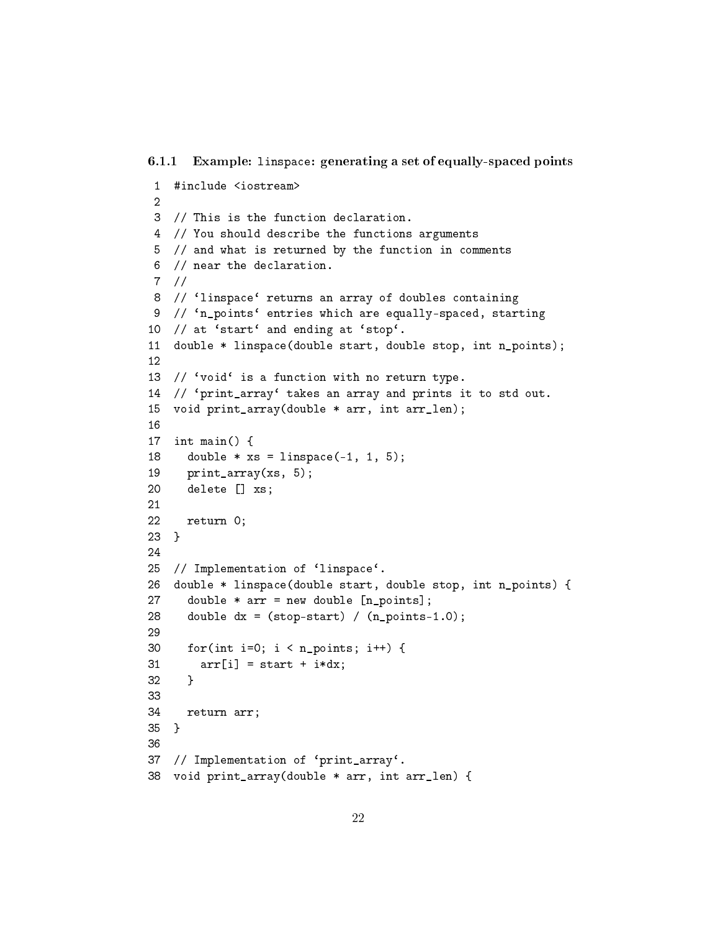<span id="page-21-0"></span>6.1.1 Example: linspace: generating a set of equally-spaced points

```
1 #include <iostream>
 2
 3 // This is the function declaration.
 4 // You should describe the functions arguments
 5 // and what is returned by the function in comments
 6 // near the declaration.
 7 //
8 // `linspace` returns an array of doubles containing
9 // 'n_points' entries which are equally-spaced, starting
10 // at 'start' and ending at 'stop'.
11 double * linspace(double start, double stop, int n_points);
12
13 // 'void' is a function with no return type.
14 // 'print_array' takes an array and prints it to std out.
15 void print_array(double * arr, int arr_len);
16
17 int main() {
18 double * xs = linspace(-1, 1, 5);
19 print_array(xs, 5);
20 delete [] xs;
21
22 return 0;
23 }
24
25 // Implementation of 'linspace'.
26 double * linspace(double start, double stop, int n_points) {
27 double * arr = new double [n_points];
28 double dx = (stop-start) / (n\_points-1.0);29
30 for(int i=0; i < n points; i++) {
31 \quad \ar{arr[i]} = start + i * dx;32 }
33
34 return arr;
35 }
36
37 // Implementation of 'print_array'.
38 void print_array(double * arr, int arr_len) {
```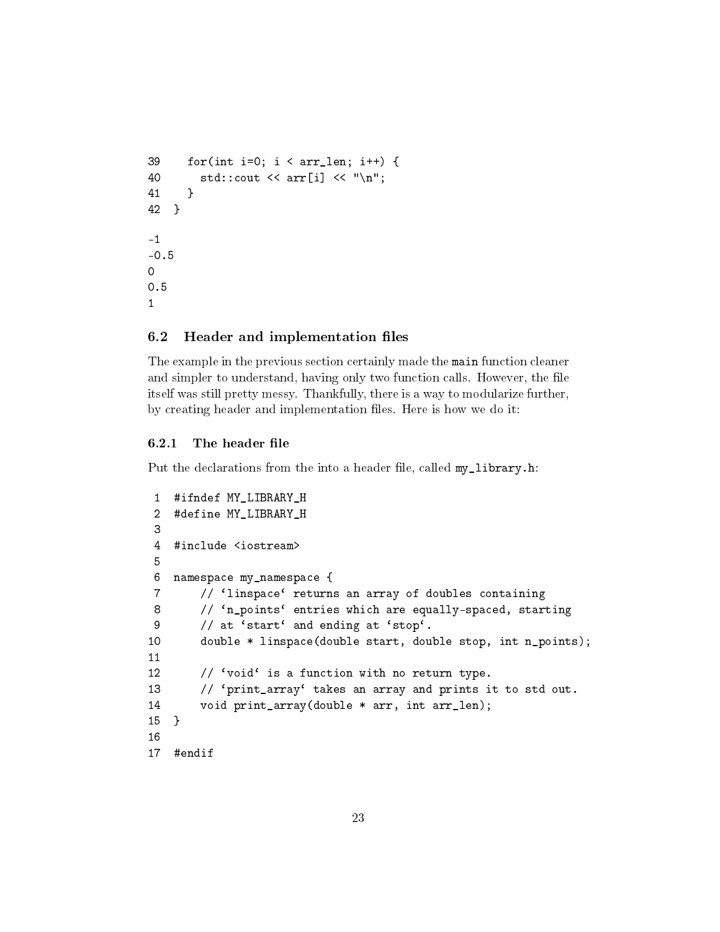```
39 for(int i=0; i < arr_len; i++) {
40 std::cout \langle arr[i] \langle \rangle "\n";
41 }
42 }
-1
-0.5
0
0.5
1
```
#### <span id="page-22-0"></span>6.2 Header and implementation files

The example in the previous section certainly made the main function cleaner and simpler to understand, having only two function calls. However, the file itself was still pretty messy. Thankfully, there is a way to modularize further, by creating header and implementation files. Here is how we do it:

#### <span id="page-22-1"></span>6.2.1 The header file

Put the declarations from the into a header file, called my\_library.h:

```
1 #ifndef MY_LIBRARY_H
 2 #define MY_LIBRARY_H
 3
 4 #include <iostream>
 5
 6 namespace my_namespace {
 7 // `linspace` returns an array of doubles containing
 8 // 'n_points' entries which are equally-spaced, starting
 9 // at 'start' and ending at 'stop'.
10 double * linspace(double start, double stop, int n_points);
11
12 \frac{1}{2} // 'void' is a function with no return type.
13 // 'print_array' takes an array and prints it to std out.
14 void print_array(double * arr, int arr_len);
15 }
16
17 #endif
```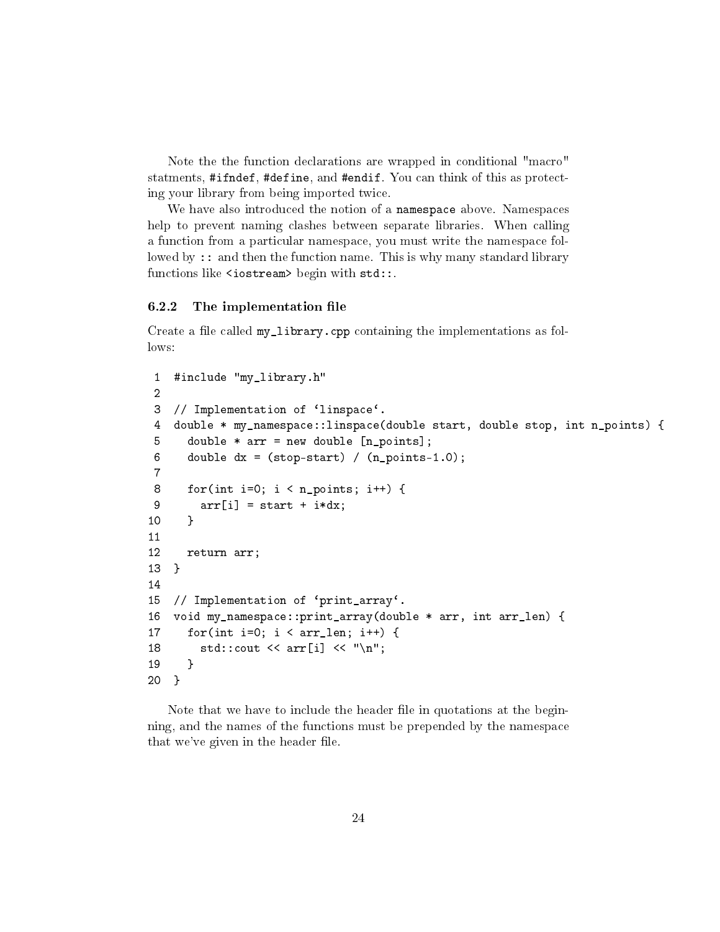Note the the function declarations are wrapped in conditional "macro" statments, #ifndef, #define, and #endif. You can think of this as protecting your library from being imported twice.

We have also introduced the notion of a namespace above. Namespaces help to prevent naming clashes between separate libraries. When calling a function from a particular namespace, you must write the namespace followed by :: and then the function name. This is why many standard library functions like <iostream> begin with std::.

#### <span id="page-23-0"></span> $6.2.2$  The implementation file

Create a file called  $my$  library.cpp containing the implementations as follows:

```
1 #include "my_library.h"
2
3 // Implementation of 'linspace'.
4 double * my_namespace::linspace(double start, double stop, int n_points) {
5 double * arr = new double [n_points];
6 double dx = (stop-start) / (n\_points-1.0);7
8 for(int i=0; i < n_points; i++) {
9 arr[i] = start + i * dx;10 }
11
12 return arr;
13 }
14
15 // Implementation of 'print_array'.
16 void my_namespace::print_array(double * arr, int arr_len) {
17 for(int i=0; i < arr_{\text{len}}; i++) {
18 std::count \leq \arr[i] \leq \sqrt[n]{n};
19 }
20 }
```
Note that we have to include the header file in quotations at the beginning, and the names of the functions must be prepended by the namespace that we've given in the header file.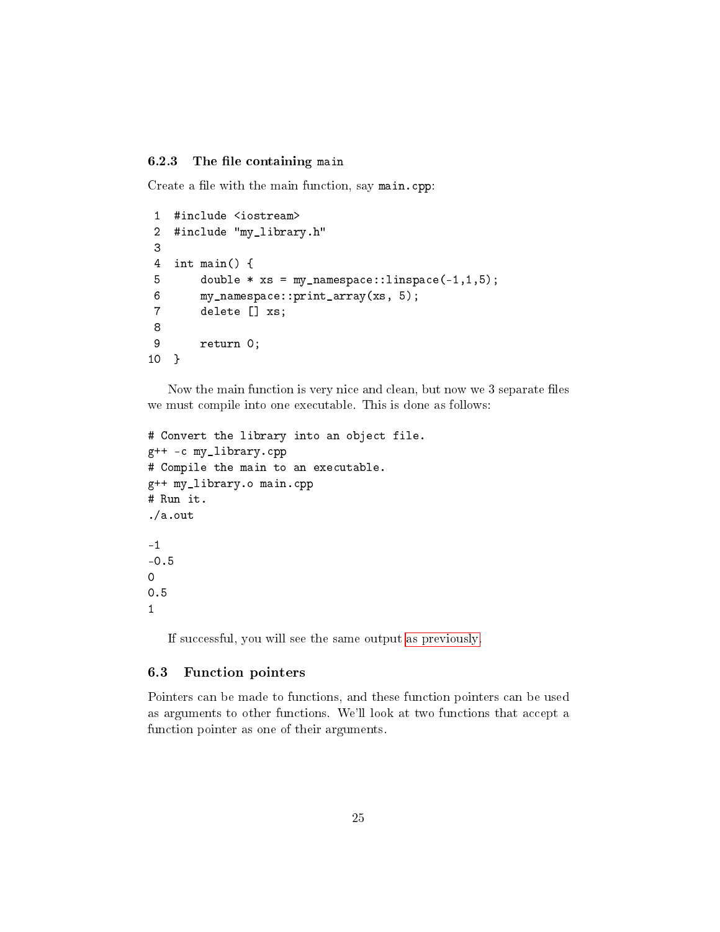#### <span id="page-24-0"></span>6.2.3 The file containing main

Create a file with the main function, say main.cpp:

```
1 #include <iostream>
2 #include "my_library.h"
3
4 int main() {
5 double * xs = my_namespace::linspace(-1,1,5);
6 my_namespace::print_array(xs, 5);
7 delete [] xs;
8
9 return 0;
10 }
```
Now the main function is very nice and clean, but now we 3 separate files we must compile into one executable. This is done as follows:

```
# Convert the library into an object file.
g++ -c my_library.cpp
# Compile the main to an executable.
g++ my_library.o main.cpp
# Run it.
./a.out
-1
-0.5
0
0.5
1
```
If successful, you will see the same output [as previously.](#page-20-1)

#### <span id="page-24-1"></span>6.3 Function pointers

Pointers can be made to functions, and these function pointers can be used as arguments to other functions. We'll look at two functions that accept a function pointer as one of their arguments.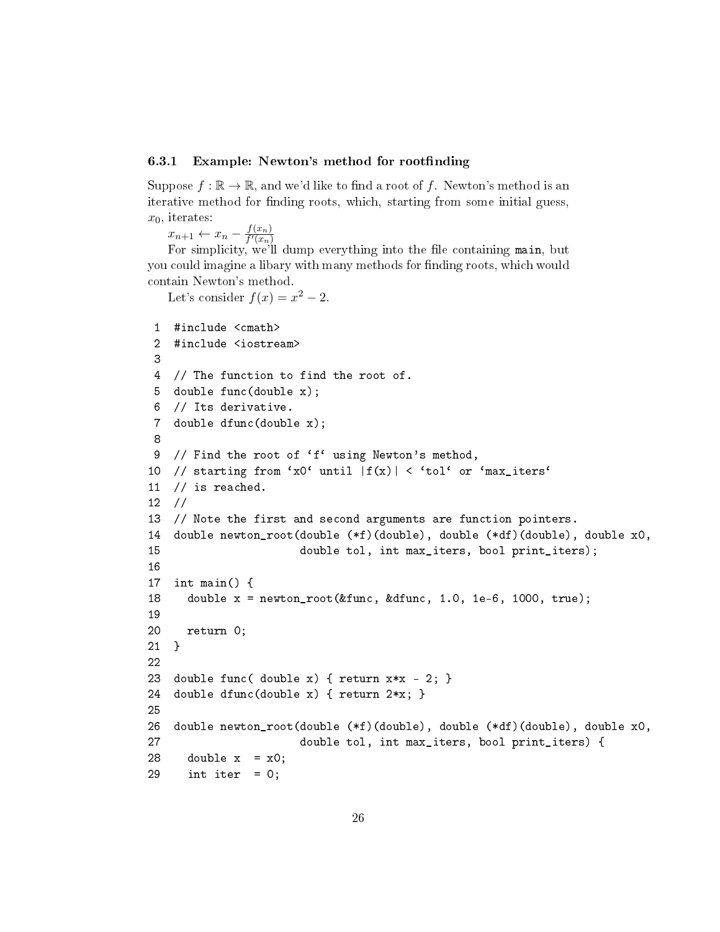#### <span id="page-25-0"></span>6.3.1 Example: Newton's method for rootfinding

Suppose  $f : \mathbb{R} \to \mathbb{R}$ , and we'd like to find a root of f. Newton's method is an iterative method for finding roots, which, starting from some initial guess,  $x_0$ , iterates:

 $x_{n+1} \leftarrow x_n - \frac{f(x_n)}{f'(x_n)}$  $\overline{f'(x_n)}$ 

For simplicity, we'll dump everything into the file containing main, but you could imagine a libary with many methods for finding roots, which would contain Newton's method.

Let's consider  $f(x) = x^2 - 2$ .

```
1 #include <cmath>
 2 #include <iostream>
 3
 4 // The function to find the root of.
 5 double func(double x);
 6 // Its derivative.
 7 double dfunc(double x);
 8
 9 // Find the root of 'f' using Newton's method,
10 // starting from 'x0' until |f(x)| < 'tol' or 'max_iters'
11 // is reached.
12 //
13 // Note the first and second arguments are function pointers.
14 double newton_root(double (*f)(double), double (*df)(double), double x0,
15 double tol, int max_iters, bool print_iters);
16
17 int main() {
18 double x = newton_root(&func, &dfunc, 1.0, 1e-6, 1000, true);
19
20 return 0;
21 }
22
23 double func( double x) { return x*x - 2; }
24 double dfunc(double x) { return 2*x; }
25
26 double newton_root(double (*f)(double), double (*df)(double), double x0,
27 double tol, int max_iters, bool print_iters) {
28 double x = x0;
29 int iter = 0;
```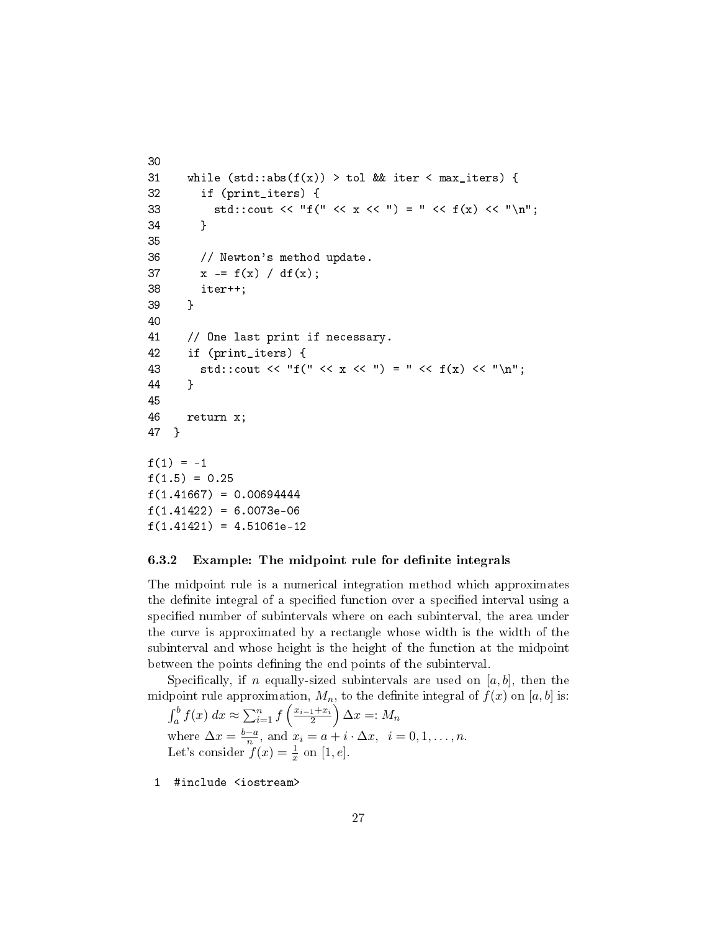```
30
31 while (std::abs(f(x)) > tol && iter < max_iters) {
32 if (print_iters) {
33 std::cout << "f(" << x << ") = " << f(x) << "\n";
34 }
35
36 // Newton's method update.
37 x = f(x) / df(x);
38 iter++;
39 }
40
41 // One last print if necessary.
42 if (print_iters) {
43 std::cout << "f(" << x << ") = " << f(x) << "\n";
44 }
45
46 return x;
47 }
f(1) = -1f(1.5) = 0.25f(1.41667) = 0.00694444f(1.41422) = 6.0073e-06f(1.41421) = 4.51061e-12
```
#### <span id="page-26-0"></span>6.3.2 Example: The midpoint rule for definite integrals

The midpoint rule is a numerical integration method which approximates the definite integral of a specified function over a specified interval using a specified number of subintervals where on each subinterval, the area under the curve is approximated by a rectangle whose width is the width of the subinterval and whose height is the height of the function at the midpoint between the points defining the end points of the subinterval.

Specifically, if n equally-sized subintervals are used on  $[a, b]$ , then the midpoint rule approximation,  $M_n$ , to the definite integral of  $f(x)$  on [a, b] is:

 $\int_a^b f(x) dx \approx \sum_{i=1}^n f\left(\frac{x_{i-1}+x_i}{2}\right)$  $\left(\frac{1+x_i}{2}\right)\Delta x=:M_n$ where  $\Delta x = \frac{b-a}{n}$  $\frac{-a}{n}$ , and  $x_i = a + i \cdot \Delta x$ ,  $i = 0, 1, \dots, n$ . Let's consider  $f(x) = \frac{1}{x}$  on [1, e].

1 #include <iostream>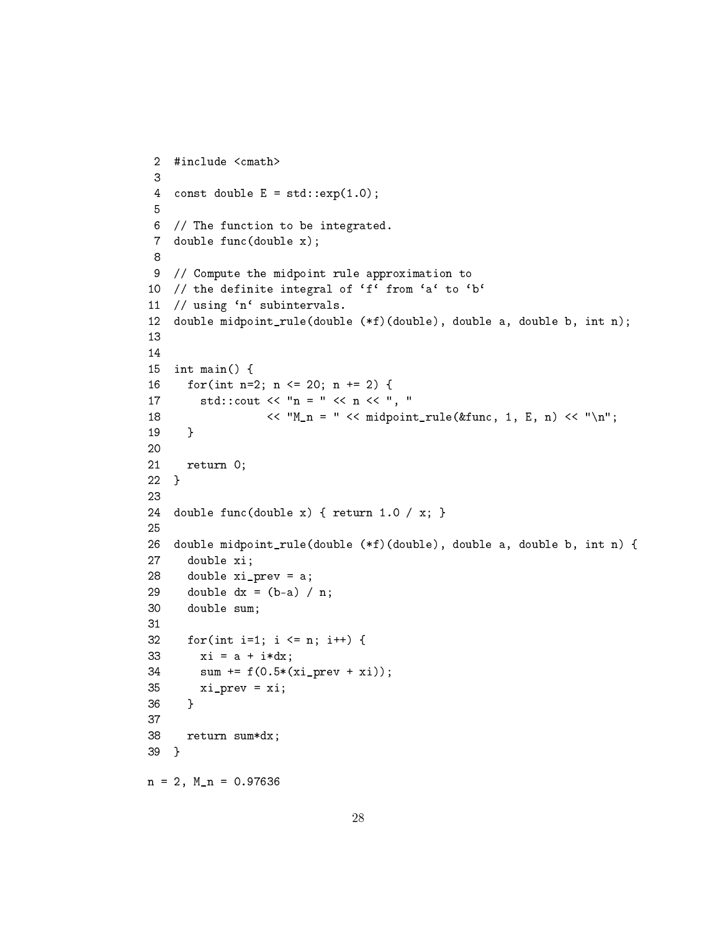```
2 #include <cmath>
 3
 4 const double E = std::exp(1.0);5
 6 // The function to be integrated.
 7 double func(double x);
 8
 9 // Compute the midpoint rule approximation to
10 // the definite integral of 'f' from 'a' to 'b'
11 // using 'n' subintervals.
12 double midpoint_rule(double (*f)(double), double a, double b, int n);
13
14
15 int main() {
16 for(int n=2; n <= 20; n += 2) {
17 std::cout << "n = " << n << ", "
18 \langle\langle M_n = \rangle \langle\langle m_n = \rangle \langle\langle m_n = \rangle \langle\langle m_n = \rangle \langle\langle m_n = \rangle \langle\langle m_n = \rangle \langle\langle m_n = \rangle \langle\langle m_n = \rangle \langle\langle m_n = \rangle \langle\langle m_n = \rangle \langle\langle m_n = \rangle \langle\langle m_n = \rangle \langle\langle m_n = \rangle \langle\langle m_n = \rangle \langle\langle m_n = \rangle \langle\langle m_n = \rangle \langle\langle m_n = \rangle \langle\langle m_n = \rangle \19 }
20
21 return 0;
22 }
23
24 double func(double x) { return 1.0 / x; }
25
26 double midpoint_rule(double (*f)(double), double a, double b, int n) {
27 double xi;
28 double xi_prev = a;
29 double dx = (b-a) / n;
30 double sum;
31
32 for(int i=1; i <= n; i++) {
33 xi = a + i * dx;34 sum += f(0.5*(xi_prev + xi));
35 xi_prev = xi;
36 }
37
38 return sum*dx;
39 }
n = 2, M_n = 0.97636
```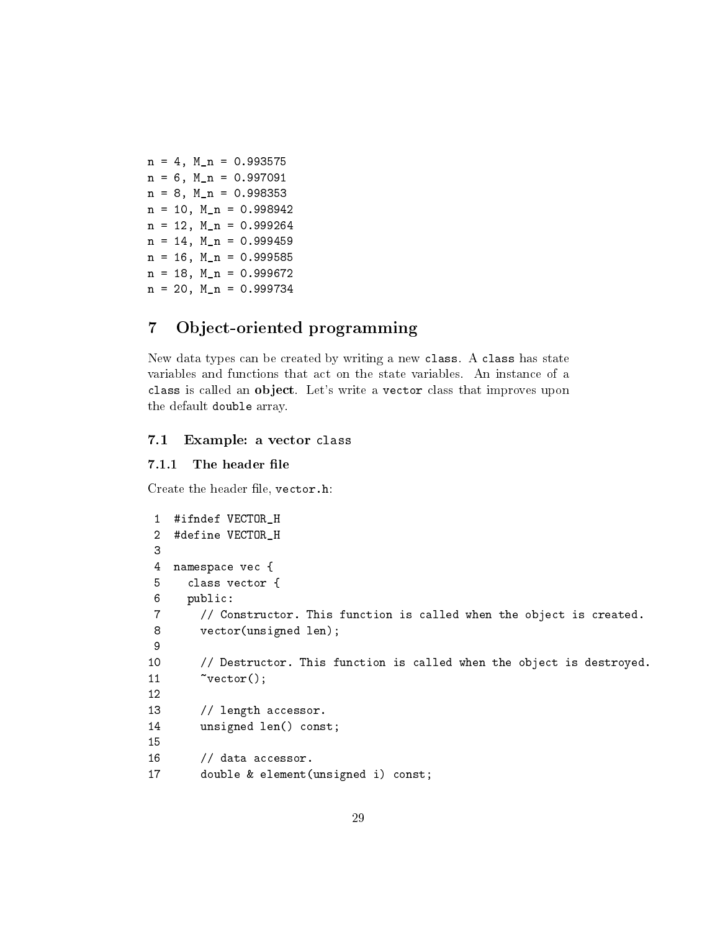$n = 4$ ,  $M_n = 0.993575$  $n = 6$ ,  $M_n = 0.997091$  $n = 8$ ,  $M_n = 0.998353$  $n = 10$ ,  $M_n = 0.998942$  $n = 12$ ,  $M_n = 0.999264$  $n = 14$ ,  $M_n = 0.999459$  $n = 16$ ,  $M_n = 0.999585$  $n = 18$ ,  $M_n = 0.999672$  $n = 20$ ,  $M_n = 0.999734$ 

## <span id="page-28-0"></span>7 Object-oriented programming

New data types can be created by writing a new class. A class has state variables and functions that act on the state variables. An instance of a class is called an object. Let's write a vector class that improves upon the default double array.

#### <span id="page-28-1"></span>7.1 Example: a vector class

#### <span id="page-28-2"></span>7.1.1 The header file

Create the header file, vector.h:

```
1 #ifndef VECTOR_H
2 #define VECTOR_H
3
4 namespace vec {
5 class vector {
6 public:
7 // Constructor. This function is called when the object is created.
8 vector(unsigned len);
9
10 // Destructor. This function is called when the object is destroyed.
11 \tilde{v}vector();
12
13 // length accessor.
14 unsigned len() const;
15
16 // data accessor.
17 double & element(unsigned i) const;
```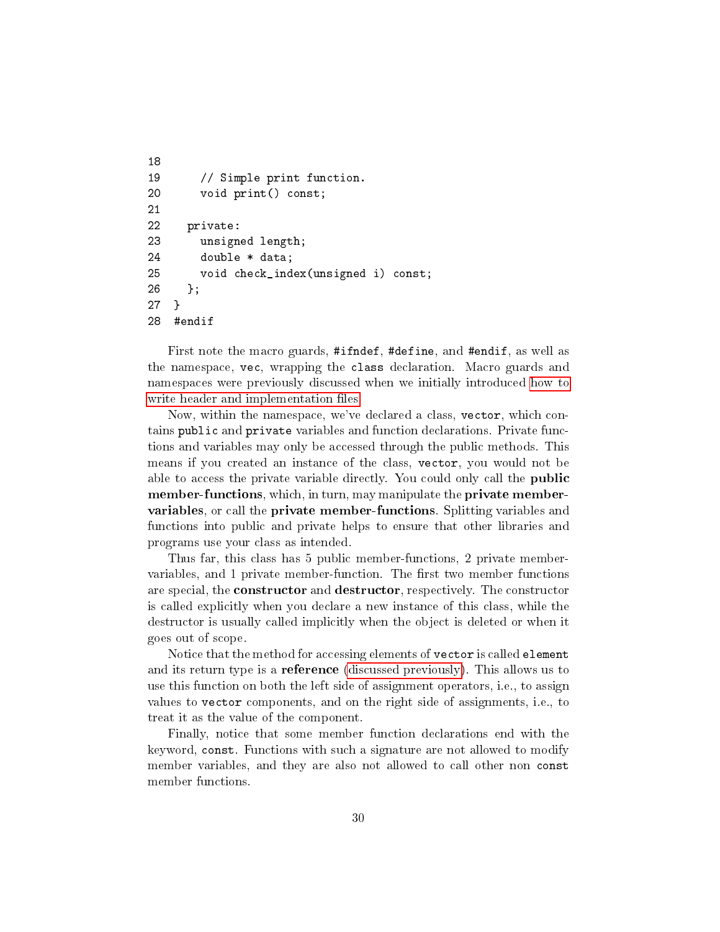```
18
19 // Simple print function.
20 void print() const;
21
22 private:
23 unsigned length;
24 double * data;
25 void check_index(unsigned i) const;
26 };
27 }
28 #endif
```
First note the macro guards, #ifndef, #define, and #endif, as well as the namespace, vec, wrapping the class declaration. Macro guards and namespaces were previously discussed when we initially introduced [how to](#page-22-0) write header and implementation files.

Now, within the namespace, we've declared a class, vector, which contains public and private variables and function declarations. Private functions and variables may only be accessed through the public methods. This means if you created an instance of the class, vector, you would not be able to access the private variable directly. You could only call the **public** member-functions, which, in turn, may manipulate the private membervariables, or call the private member-functions. Splitting variables and functions into public and private helps to ensure that other libraries and programs use your class as intended.

Thus far, this class has 5 public member-functions, 2 private membervariables, and 1 private member-function. The first two member functions are special, the **constructor** and **destructor**, respectively. The constructor is called explicitly when you declare a new instance of this class, while the destructor is usually called implicitly when the object is deleted or when it goes out of scope.

Notice that the method for accessing elements of vector is called element and its return type is a **reference** [\(discussed previously\)](#page-9-0). This allows us to use this function on both the left side of assignment operators, i.e., to assign values to vector components, and on the right side of assignments, i.e., to treat it as the value of the component.

Finally, notice that some member function declarations end with the keyword, const. Functions with such a signature are not allowed to modify member variables, and they are also not allowed to call other non const member functions.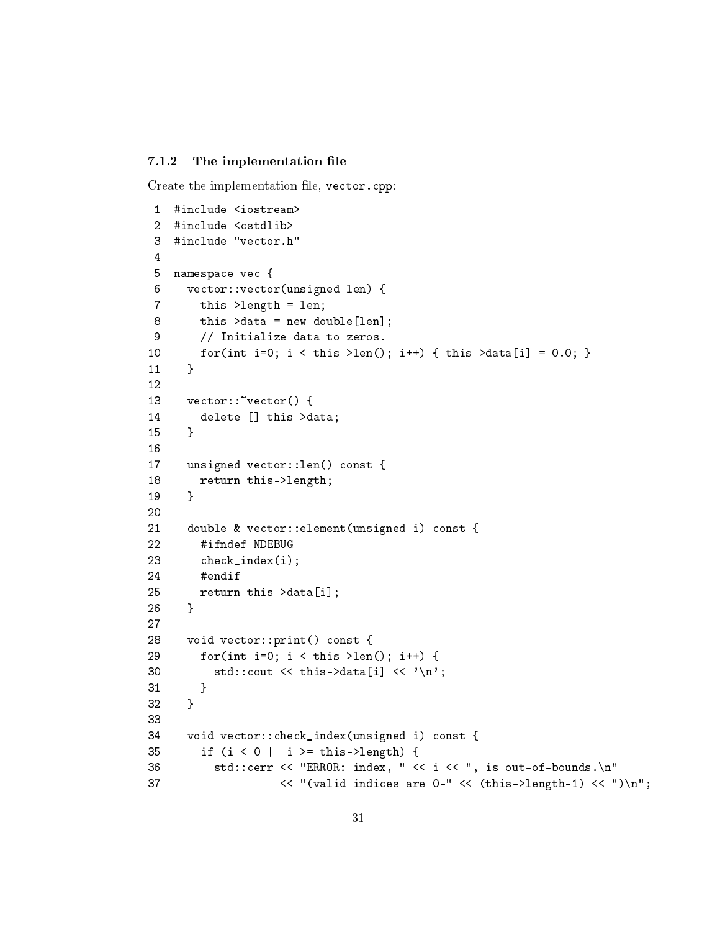#### <span id="page-30-0"></span>7.1.2 The implementation file

Create the implementation file, vector.cpp:

```
1 #include <iostream>
 2 #include <cstdlib>
 3 #include "vector.h"
 4
5 namespace vec {
 6 vector::vector(unsigned len) {
 7 this->length = len;
 8 this->data = new double[len];
 9 // Initialize data to zeros.
10 for(int i=0; i < this->len(); i++) { this->data[i] = 0.0; }
11 }
12
13 vector:: vector() {
14 delete [] this->data;
15 }
16
17 unsigned vector::len() const {
18 return this->length;
19 }
20
21 double & vector::element(unsigned i) const {
22 #ifndef NDEBUG
23 check_index(i);
24 #endif
25 return this->data[i];
26 }
27
28 void vector::print() const {
29 for(int i=0; i < this->len(); i++) {
30 std::cout << this->data[i] << \langle \rangle',
31 }
32 }
33
34 void vector::check_index(unsigned i) const {
35 if (i < 0 || i >= this->length) {
36 std::cerr << "ERROR: index, " << i << ", is out-of-bounds.\n"
37 \langle\langle "(valid indices are 0-" \langle\langle (this->length-1) \langle\langle ")\ranglen";
```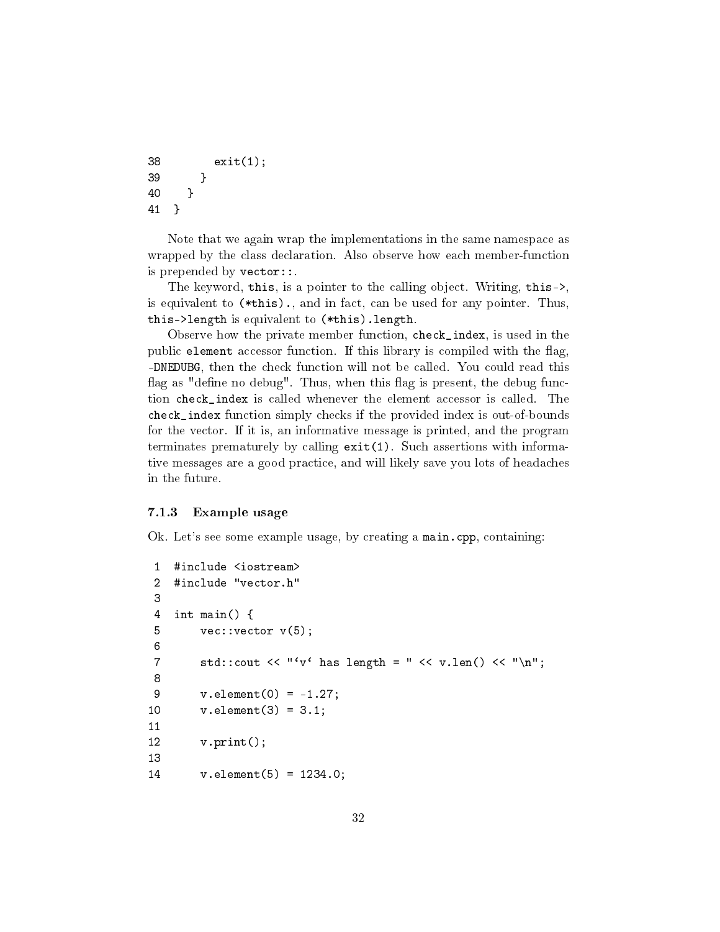```
38 exit(1);
39 }
40 }
41 }
```
Note that we again wrap the implementations in the same namespace as wrapped by the class declaration. Also observe how each member-function is prepended by vector::.

The keyword, this, is a pointer to the calling object. Writing, this->, is equivalent to (\*this)., and in fact, can be used for any pointer. Thus, this->length is equivalent to (\*this).length.

Observe how the private member function, check\_index, is used in the public element accessor function. If this library is compiled with the flag, -DNEDUBG, then the check function will not be called. You could read this flag as "define no debug". Thus, when this flag is present, the debug function check\_index is called whenever the element accessor is called. The check\_index function simply checks if the provided index is out-of-bounds for the vector. If it is, an informative message is printed, and the program terminates prematurely by calling exit(1). Such assertions with informative messages are a good practice, and will likely save you lots of headaches in the future.

#### <span id="page-31-0"></span>7.1.3 Example usage

Ok. Let's see some example usage, by creating a main.cpp, containing:

```
1 #include <iostream>
2 #include "vector.h"
3
4 int main() {
5 vec:: vector v(5);
6
7 std::cout << "'v' has length = " << v.len() << "\n";
8
9 v.element(0) = -1.27;10 v.element(3) = 3.1;
11
12 v.print();
13
14 v.element(5) = 1234.0;
```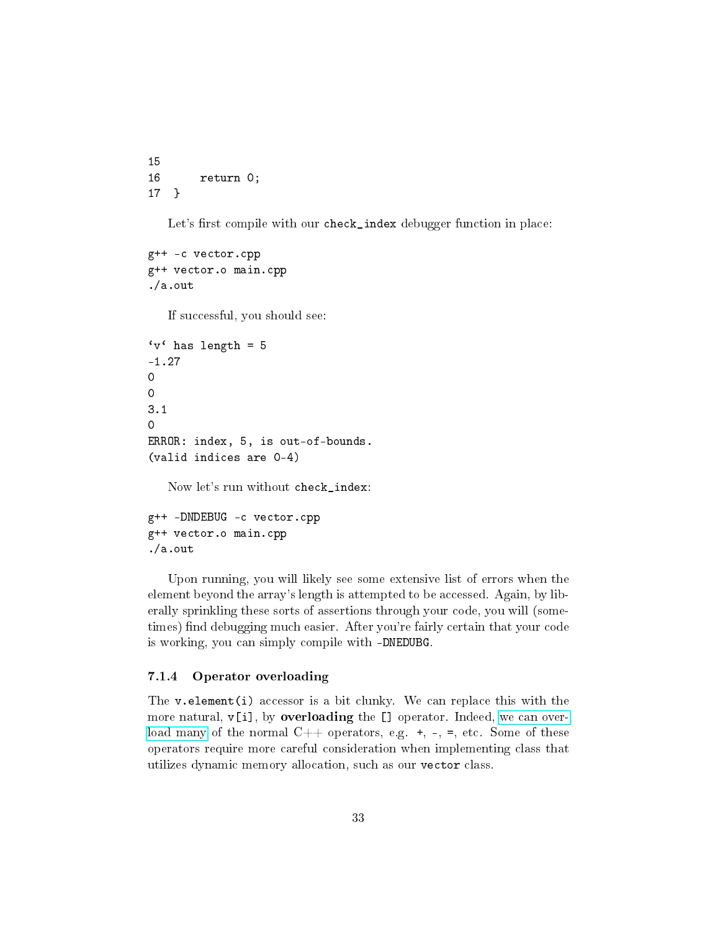```
15
16 return 0;
17 }
```
Let's first compile with our check\_index debugger function in place:

```
g++ -c vector.cpp
g++ vector.o main.cpp
./a.out
```
If successful, you should see:

```
'v' has length = 5
-1.27
0
0
3.1
\OmegaERROR: index, 5, is out-of-bounds.
(valid indices are 0-4)
```
Now let's run without check\_index:

```
g++ -DNDEBUG -c vector.cpp
g++ vector.o main.cpp
./a.out
```
Upon running, you will likely see some extensive list of errors when the element beyond the array's length is attempted to be accessed. Again, by liberally sprinkling these sorts of assertions through your code, you will (sometimes) find debugging much easier. After you're fairly certain that your code is working, you can simply compile with -DNEDUBG.

#### <span id="page-32-0"></span>7.1.4 Operator overloading

The  $v$  element(i) accessor is a bit clunky. We can replace this with the more natural,  $v[i]$ , by **overloading** the  $[]$  operator. Indeed, [we can over](http://en.cppreference.com/w/cpp/language/operators)[load many](http://en.cppreference.com/w/cpp/language/operators) of the normal  $C++$  operators, e.g.  $+, -, =$ , etc. Some of these operators require more careful consideration when implementing class that utilizes dynamic memory allocation, such as our vector class.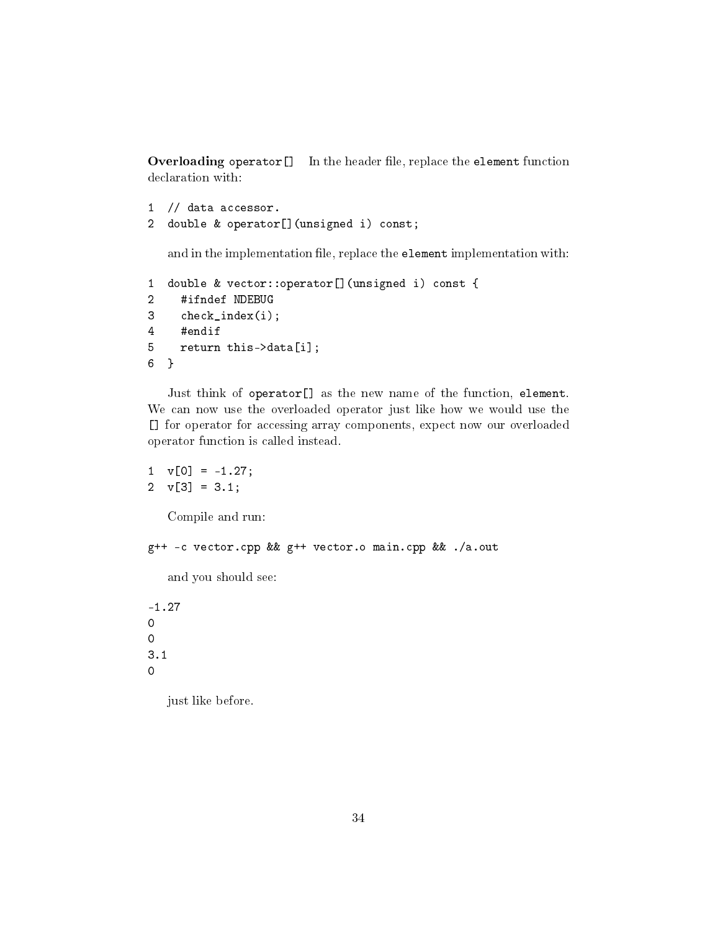Overloading operator[] In the header file, replace the element function declaration with:

```
1 // data accessor.
2 double & operator[](unsigned i) const;
```
and in the implementation file, replace the element implementation with:

```
1 double & vector::operator[](unsigned i) const {
2 #ifndef NDEBUG
3 check_index(i);
4 #endif
5 return this->data[i];
6 }
```
Just think of operator[] as the new name of the function, element. We can now use the overloaded operator just like how we would use the [] for operator for accessing array components, expect now our overloaded operator function is called instead.

```
1 \quad v[0] = -1.27;2 \text{ v} [3] = 3.1;
   Compile and run:
g++ -c vector.cpp && g++ vector.o main.cpp && ./a.out
   and you should see:
-1.27
0
0
3.1
0
   just like before.
```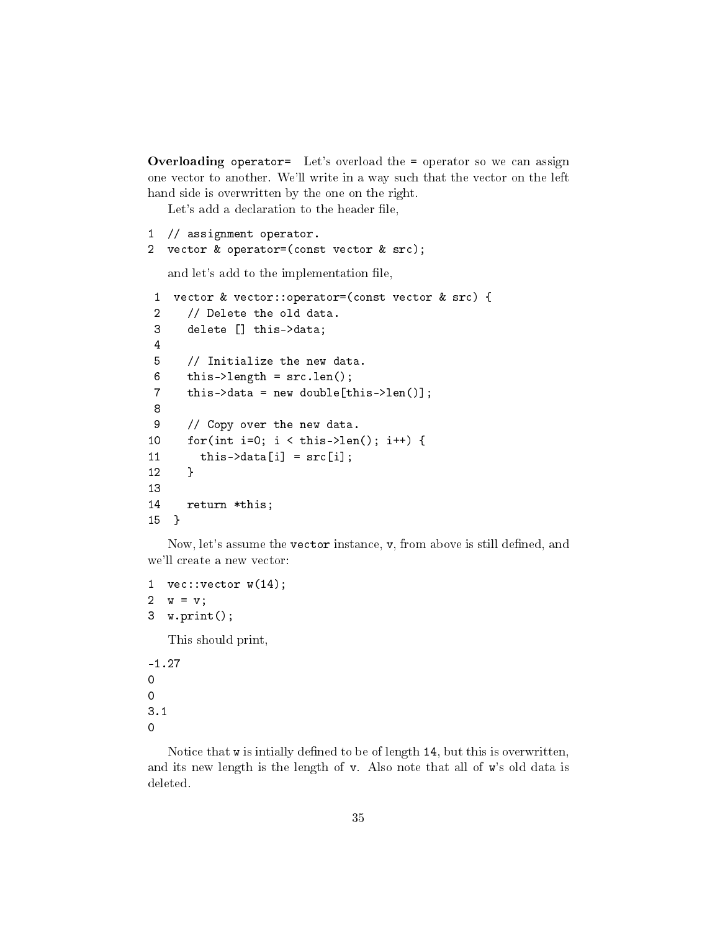**Overloading operator=** Let's overload the = operator so we can assign one vector to another. We'll write in a way such that the vector on the left hand side is overwritten by the one on the right.

Let's add a declaration to the header file,

```
1 // assignment operator.
```
2 vector & operator=(const vector & src);

and let's add to the implementation file,

```
1 vector & vector::operator=(const vector & src) {
2 // Delete the old data.
3 delete [] this->data;
4
5 // Initialize the new data.
6 this->length = src.len();
7 this->data = new double[this->len()];
8
9 // Copy over the new data.
10 for(int i=0; i < this->len(); i++) {
11 this ->data[i] = src[i];
12 }
13
14 return *this;
15 }
```
Now, let's assume the vector instance, v, from above is still defined, and we'll create a new vector:

```
1 vec:: vector w(14);
2 w = v;3 w.print();
  This should print,
```
-1.27 0 0 3.1 0

Notice that  $w$  is intially defined to be of length 14, but this is overwritten, and its new length is the length of v. Also note that all of w's old data is deleted.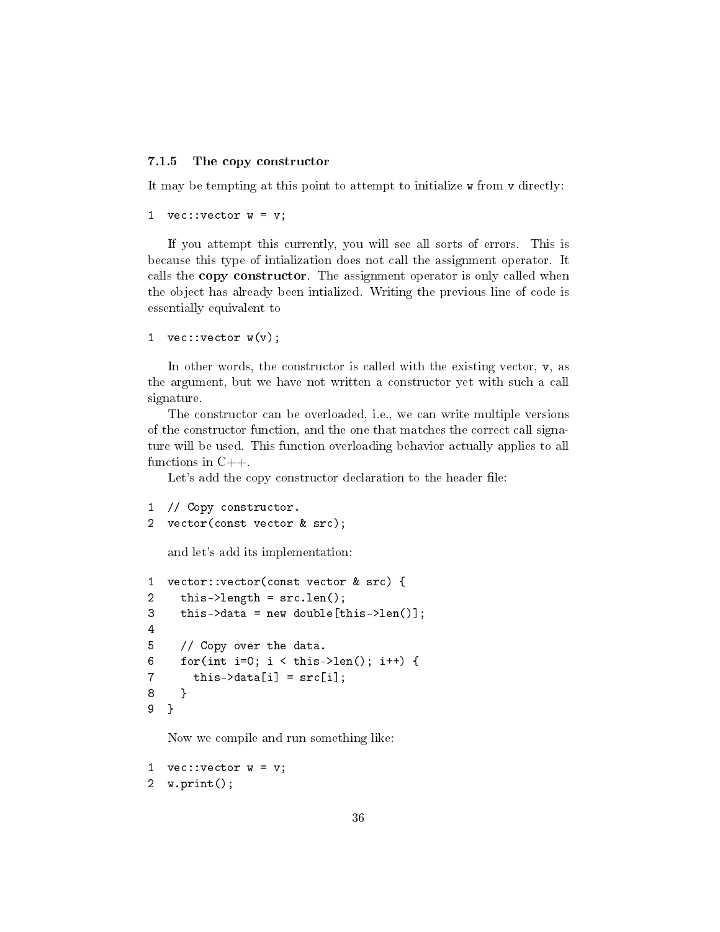#### <span id="page-35-0"></span>7.1.5 The copy constructor

It may be tempting at this point to attempt to initialize w from v directly:

```
1 vec:: vector w = v;
```
If you attempt this currently, you will see all sorts of errors. This is because this type of intialization does not call the assignment operator. It calls the copy constructor. The assignment operator is only called when the object has already been intialized. Writing the previous line of code is essentially equivalent to

```
1 vec:: vector w(v);
```
In other words, the constructor is called with the existing vector,  $v$ , as the argument, but we have not written a constructor yet with such a call signature.

The constructor can be overloaded, i.e., we can write multiple versions of the constructor function, and the one that matches the correct call signature will be used. This function overloading behavior actually applies to all functions in  $C++$ .

Let's add the copy constructor declaration to the header file:

```
1 // Copy constructor.
```

```
2 vector(const vector & src);
```
and let's add its implementation:

```
1 vector::vector(const vector & src) {
2 this->length = src.len();
3 this->data = new double[this->len()];
4
5 // Copy over the data.
6 for(int i=0; i < this->len(); i++) {
7 this->\text{data}[i] = \text{src}[i];8 }
9 }
```
Now we compile and run something like:

```
1 vec:: vector w = v;
2 w.print();
```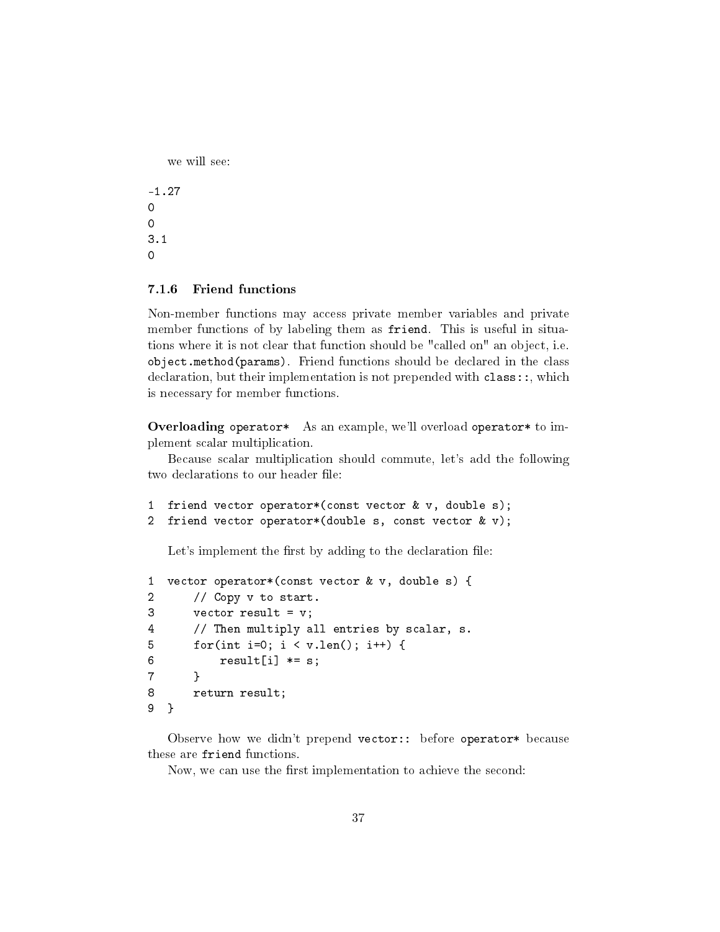```
we will see:
```
-1.27 0 0 3.1 0

#### <span id="page-36-0"></span>7.1.6 Friend functions

Non-member functions may access private member variables and private member functions of by labeling them as friend. This is useful in situations where it is not clear that function should be "called on" an object, i.e. object.method(params). Friend functions should be declared in the class declaration, but their implementation is not prepended with class::, which is necessary for member functions.

Overloading operator\* As an example, we'll overload operator\* to implement scalar multiplication.

Because scalar multiplication should commute, let's add the following two declarations to our header file:

```
1 friend vector operator*(const vector & v, double s);
2 friend vector operator*(double s, const vector & v);
```
Let's implement the first by adding to the declaration file:

```
1 vector operator*(const vector & v, double s) {
2 // Copy v to start.
3 vector result = v;
4 // Then multiply all entries by scalar, s.
5 for(int i=0; i < v.len(); i++) {
6 result[i] \neq s;7 }
8 return result;
9 }
```
Observe how we didn't prepend vector:: before operator\* because these are friend functions.

Now, we can use the first implementation to achieve the second: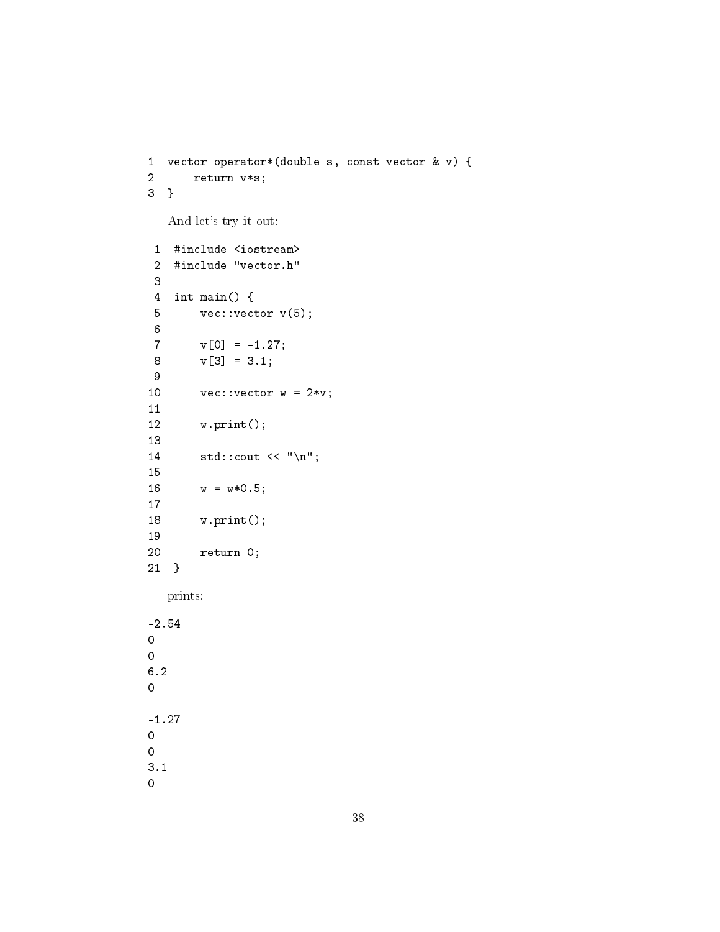```
1 vector operator*(double s, const vector & v) {
2 return v*s;
3 }
  And let's try it out:
1 #include <iostream>
2 #include "vector.h"
3
4 int main() {
5 vec:: vector v(5);
6<br>7
       v[0] = -1.27;8 \text{ v}[3] = 3.1;9
10 vec:: vector w = 2*v;
11
12 w.print();
13
14 std::count << "\n";15
16 w = w*0.5;17
18 w.print();
19
20 return 0;
21 }
  prints:
-2.54
0
```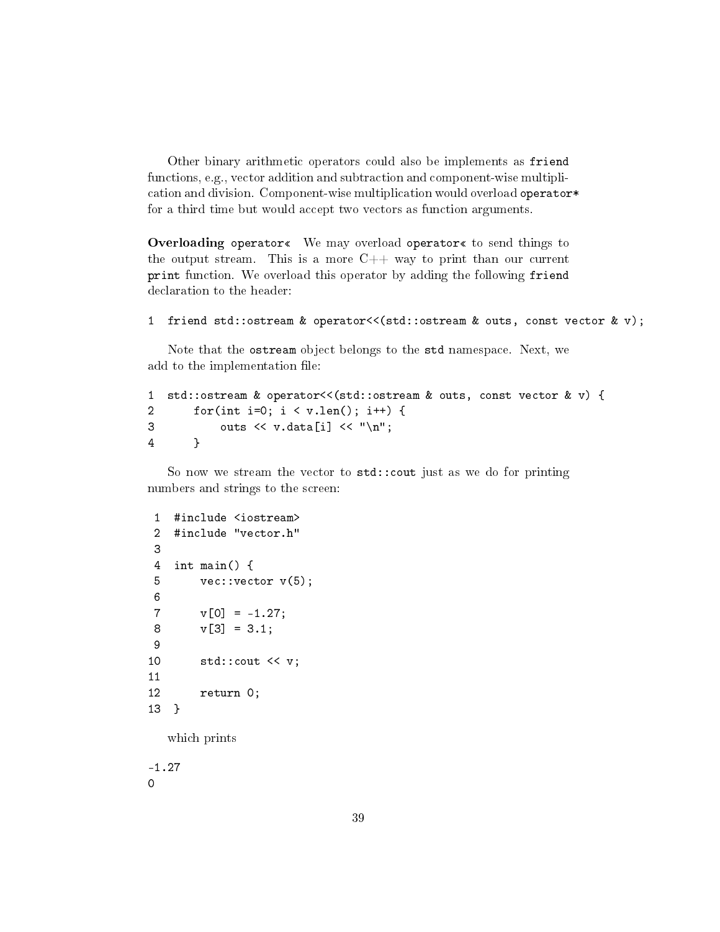Other binary arithmetic operators could also be implements as friend functions, e.g., vector addition and subtraction and component-wise multiplication and division. Component-wise multiplication would overload operator\* for a third time but would accept two vectors as function arguments.

Overloading operator« We may overload operator« to send things to the output stream. This is a more  $C++$  way to print than our current print function. We overload this operator by adding the following friend declaration to the header:

```
1 friend std::ostream & operator<<(std::ostream & outs, const vector & v);
```
Note that the ostream object belongs to the std namespace. Next, we add to the implementation file:

```
1 std::ostream & operator<<(std::ostream & outs, const vector & v) {
2 for(int i=0; i < v.len(); i++) {
3 outs \langle v \cdot \text{data}[i] \rangle \langle v \cdot \text{w} \rangle;
4 }
```
So now we stream the vector to std::cout just as we do for printing numbers and strings to the screen:

```
1 #include <iostream>
2 #include "vector.h"
3
4 int main() {
5 vec::vector v(5);
6
V[0] = -1.27;8 \text{ v} [3] = 3.1;9
10 std::cout << v;
11
12 return 0;
13 }
```
which prints

-1.27 0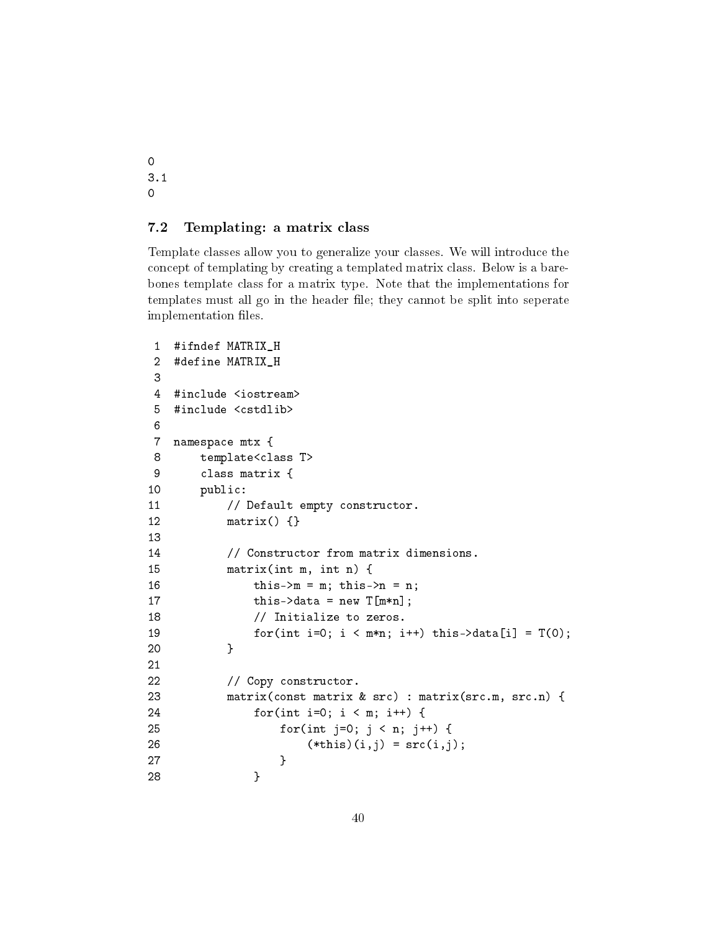0 3.1 0

#### <span id="page-39-0"></span>7.2 Templating: a matrix class

Template classes allow you to generalize your classes. We will introduce the concept of templating by creating a templated matrix class. Below is a barebones template class for a matrix type. Note that the implementations for templates must all go in the header file; they cannot be split into seperate implementation files.

```
1 #ifndef MATRIX_H
2 #define MATRIX_H
3
4 #include <iostream>
5 #include <cstdlib>
6
7 namespace mtx {
8 template<class T>
9 class matrix {
10 public:
11 // Default empty constructor.
12 matrix() {}
13
14 // Constructor from matrix dimensions.
15 matrix(int m, int n) {
16 this->m = m; this->n = n;
17 \text{this}-\text{data} = \text{new } T[m*n];18 // Initialize to zeros.
19 for(int i=0; i < m*n; i++) this->data[i] = T(0);
20 }
21
22 // Copy constructor.
23 matrix(const matrix & src) : matrix(src.m, src.n) {
24 for(int i=0; i < m; i++) {
25 for(int j=0; j < n; j++) {
26 (*this)(i,j) = src(i,j);27 }
28 }
```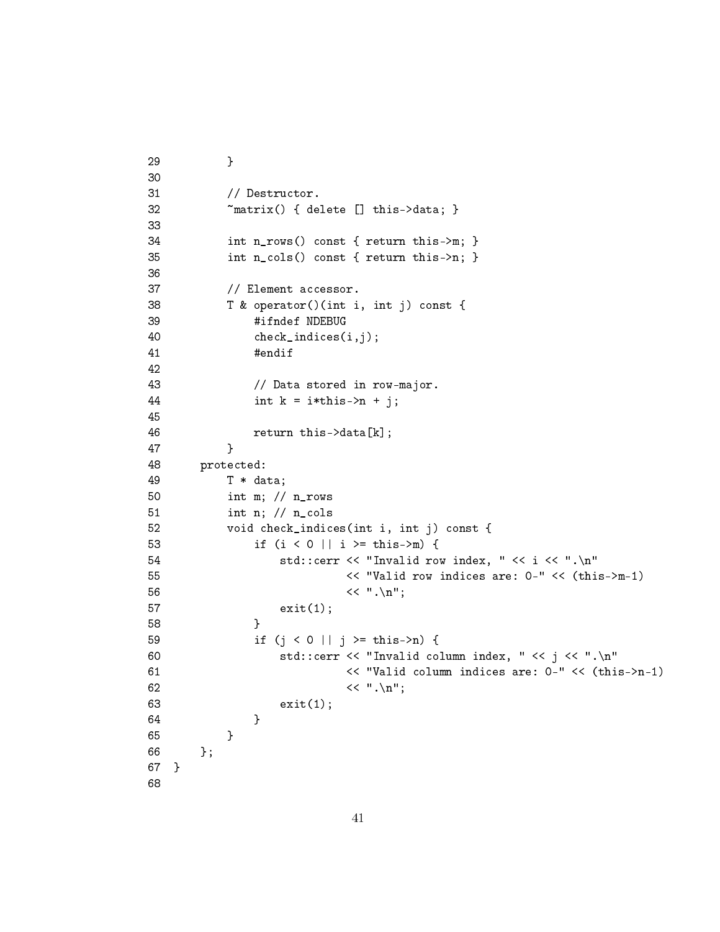```
29 }
30
31 // Destructor.
32 ~matrix() { delete [] this->data; }
33
34 int n_rows() const { return this->m; }
35 int n_cols() const { return this->n; }
36
37 // Element accessor.
38 T & operator()(int i, int j) const {
39 #ifndef NDEBUG
40 check_indices(i,j);
41 #endif
42
43 // Data stored in row-major.
44 int k = i * this - > n + j;45
46 return this->data[k];
47 }
48 protected:
49 T * data;
50 int m; // n_rows
51 int n; // n_cols
52 void check_indices(int i, int j) const {
53 if (i < 0 || i >= this->m) {
54 std::cerr << "Invalid row index, " << i << ".\n"
55 << "Valid row indices are: 0-" << (this->m-1)
56 << ".\n\sqrt{n}";57 exit(1);
58 }
59 if (j < 0 || j >= this->n) {
60 std::cerr << "Invalid column index, " << j << ".\n"
61 << "Valid column indices are: 0-" << (this->n-1)
62 << ".\n\sqrt{n}";63 exit(1);
64 }
65 }
66 };
67 }
68
```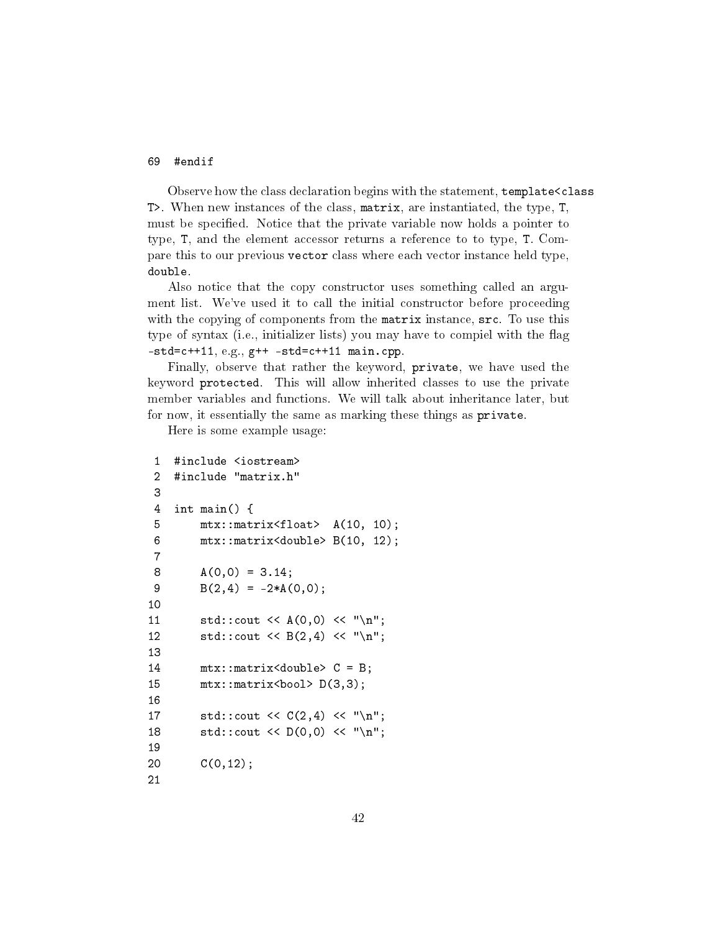#### 69 #endif

Observe how the class declaration begins with the statement, template<class T>. When new instances of the class, matrix, are instantiated, the type, T, must be specified. Notice that the private variable now holds a pointer to type, T, and the element accessor returns a reference to to type, T. Compare this to our previous vector class where each vector instance held type, double.

Also notice that the copy constructor uses something called an argument list. We've used it to call the initial constructor before proceeding with the copying of components from the matrix instance,  $src$ . To use this type of syntax (i.e., initializer lists) you may have to compiel with the flag  $-std=c++11, e.g., g++ -std=c++11$  main.cpp.

Finally, observe that rather the keyword, private, we have used the keyword protected. This will allow inherited classes to use the private member variables and functions. We will talk about inheritance later, but for now, it essentially the same as marking these things as private.

Here is some example usage:

```
1 #include <iostream>
2 #include "matrix.h"
3
4 int main() {
5 mtx::matrix<float> A(10, 10);
6 mtx::matrix<double> B(10, 12);
7
8 A(0,0) = 3.14;
9 B(2,4) = -2*A(0,0);10
11 std::count \leq A(0,0) \leq N''\n12 std::cout \langle \langle B(2,4) \langle \langle "\langle n";
13
14 mtx::matrix<double> C = B;
15 mtx::matrix<bool> D(3,3);
16
17 std::cout << C(2,4) << \lnot\ \n";
18 std::cout << D(0,0) << "\n;
19
20 C(0,12);
21
```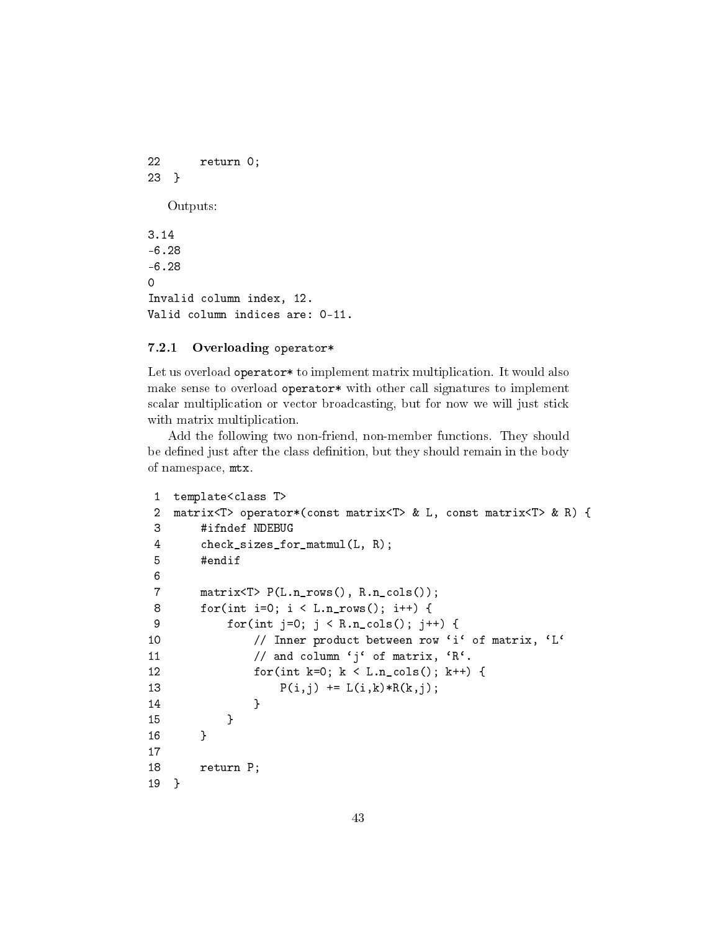22 return 0; 23 } Outputs: 3.14 -6.28 -6.28 0 Invalid column index, 12. Valid column indices are: 0-11.

#### <span id="page-42-0"></span>7.2.1 Overloading operator\*

Let us overload operator\* to implement matrix multiplication. It would also make sense to overload operator\* with other call signatures to implement scalar multiplication or vector broadcasting, but for now we will just stick with matrix multiplication.

Add the following two non-friend, non-member functions. They should be defined just after the class definition, but they should remain in the body of namespace, mtx.

```
1 template<class T>
2 matrix<T> operator*(const matrix<T> & L, const matrix<T> & R) {
3 #ifndef NDEBUG
4 check_sizes_for_matmul(L, R);
5 #endif
6
7 matrix<T> P(L.n_rrows(), R.n_cols());
8 for(int i=0; i < L.n_rows(); i++) {
9 for(int j=0; j < R.n_cols(); j++) {
10 // Inner product between row 'i' of matrix, 'L'
11 \frac{1}{\sqrt{a}} and column 'j' of matrix, 'R'.
12 for(int k=0; k < L.n_cols(); k++) {
13 P(i,j) += L(i,k)*R(k,j);14 }
15 }
16 }
17
18 return P;
19 }
```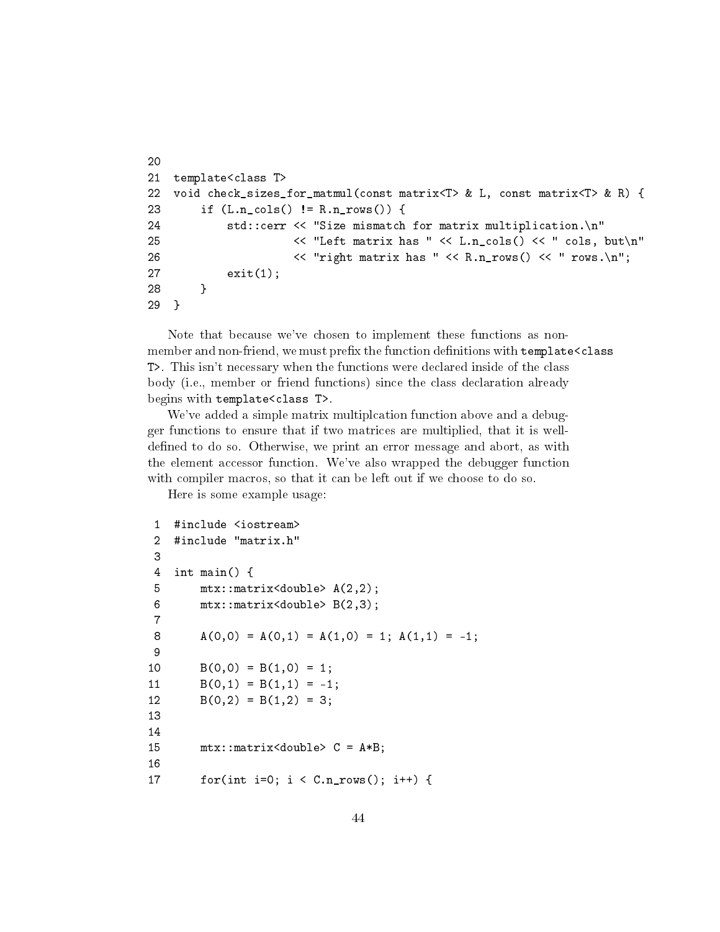```
20
21 template<class T>
22 void check_sizes_for_matmul(const matrix<T> & L, const matrix<T> & R) {
23 if (L.n_cols() != R.n_rows()) {
24 std::cerr << "Size mismatch for matrix multiplication.\n"
25 \langle\langle\cdot\rangle\rangle = \langle\cdot\rangle = \langle\cdot\rangle = \langle\cdot\rangle = \langle\cdot\rangle = \langle\cdot\rangle = \langle\cdot\rangle = \langle\cdot\rangle = \langle\cdot\rangle = \langle\cdot\rangle = \langle\cdot\rangle = \langle\cdot\rangle = \langle\cdot\rangle = \langle\cdot\rangle = \langle\cdot\rangle = \langle\cdot\rangle = \langle\cdot\rangle = \langle\cdot\rangle = \langle\cdot\rangle = \langle\cdot26 \langle\langle\cdot\rangle\rangle = \langle\cdot\rangle = \langle\cdot\rangle = \langle\cdot\rangle = \langle\cdot\rangle = \langle\cdot\rangle = \langle\cdot\rangle = \langle\cdot\rangle = \langle\cdot\rangle = \langle\cdot\rangle = \langle\cdot\rangle = \langle\cdot\rangle = \langle\cdot\rangle = \langle\cdot\rangle = \langle\cdot\rangle = \langle\cdot\rangle = \langle\cdot\rangle = \langle\cdot\rangle = \langle\cdot\rangle = \langle\cdot27 exit(1);
28 }
29 }
```
Note that because we've chosen to implement these functions as nonmember and non-friend, we must prefix the function definitions with template <class T>. This isn't necessary when the functions were declared inside of the class body (i.e., member or friend functions) since the class declaration already begins with template<class T>.

We've added a simple matrix multiplcation function above and a debugger functions to ensure that if two matrices are multiplied, that it is welldefined to do so. Otherwise, we print an error message and abort, as with the element accessor function. We've also wrapped the debugger function with compiler macros, so that it can be left out if we choose to do so.

Here is some example usage:

```
1 #include <iostream>
2 #include "matrix.h"
3
4 int main() {
5 mtx::matrix<double> A(2,2);
6 mtx::matrix<double> B(2,3);
7
8 A(0,0) = A(0,1) = A(1,0) = 1; A(1,1) = -1;9
10 B(0,0) = B(1,0) = 1;11 B(0,1) = B(1,1) = -1;12 B(0,2) = B(1,2) = 3;13
14
15 mtx::matrix<double> C = A*B;
16
17 for(int i=0; i < C.n_{r}rows(); i++) {
```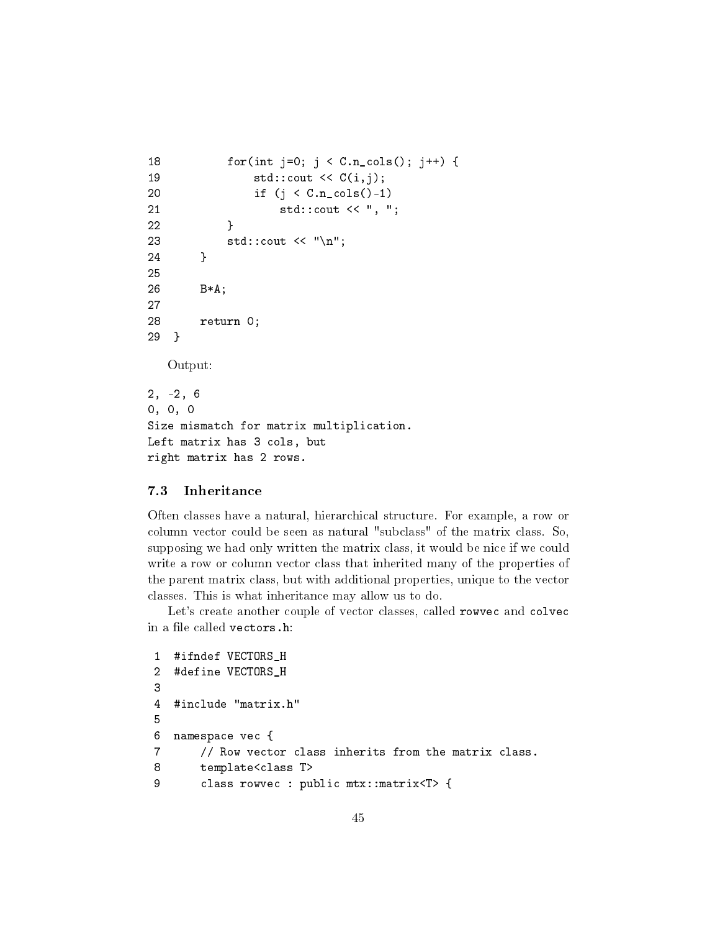```
18 for(int j=0; j < C.n_cols(); j++) {
19 std::count \lt C(i,j);20 if (j < C.n_cols()-1)
21 std::cout << ", ";
22 }
23 std::cout \langle \langle \rangle "\n";
24 }
25
26 B*A;
27
28 return 0;
29 }
  Output:
2, -2, 6
0, 0, 0
Size mismatch for matrix multiplication.
Left matrix has 3 cols, but
right matrix has 2 rows.
```
### <span id="page-44-0"></span>7.3 Inheritance

Often classes have a natural, hierarchical structure. For example, a row or column vector could be seen as natural "subclass" of the matrix class. So, supposing we had only written the matrix class, it would be nice if we could write a row or column vector class that inherited many of the properties of the parent matrix class, but with additional properties, unique to the vector classes. This is what inheritance may allow us to do.

Let's create another couple of vector classes, called rowvec and colvec in a file called vectors.h:

```
1 #ifndef VECTORS_H
2 #define VECTORS_H
3
4 #include "matrix.h"
5
6 namespace vec {
7 // Row vector class inherits from the matrix class.
8 template<class T>
9 class rowvec : public mtx::matrix<T> {
```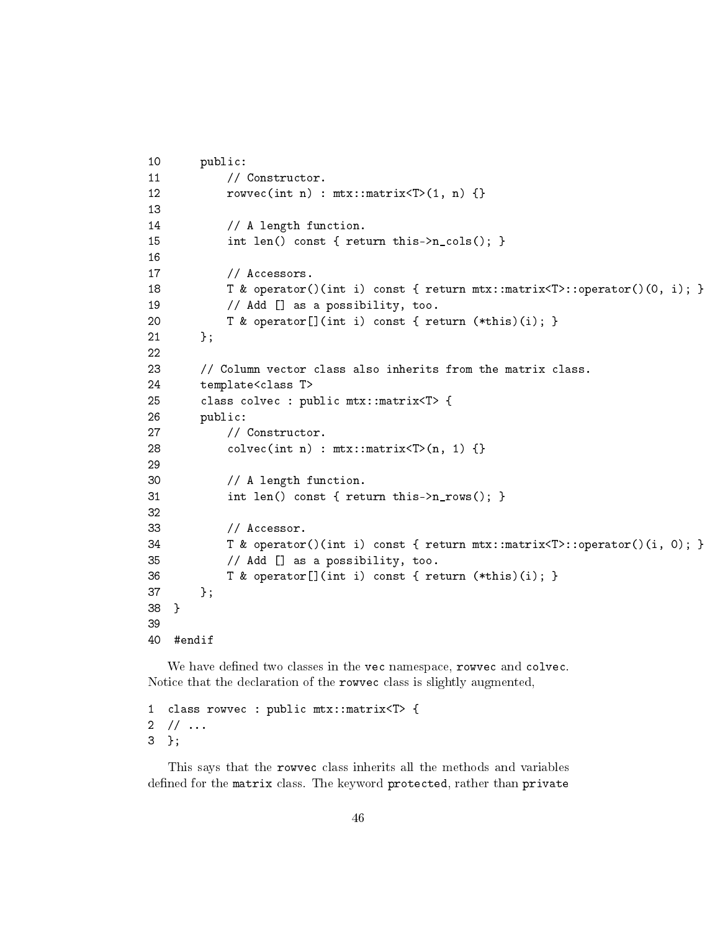```
10 public:
11 // Constructor.
12 rowvec(int n) : mtx::matrix<T>(1, n) {}
13
14 // A length function.
15 int len() const { return this->n_cols(); }
16
17 // Accessors.
18 T & operator()(int i) const { return mtx::matrix<T>::operator()(0, i); }
19 // Add [] as a possibility, too.
20 T & operator[](int i) const { return (*this)(i); }
21   };
22
23 // Column vector class also inherits from the matrix class.
24 template<class T>
25 class colvec : public mtx::matrix<T> {
26 public:
27 // Constructor.
28 colvec(int n) : \text{mtx}: \text{matrix} < \text{tn}, 1) {}
29
30 // A length function.
31 int len() const { return this->n_rows(); }
32
33 // Accessor.
34 T & operator()(int i) const { return mtx::matrix<T>::operator()(i, 0); }
35 // Add [] as a possibility, too.
36 T & operator[](int i) const { return (*this)(i); }
37 };
38 }
39
40 #endif
```
We have defined two classes in the vec namespace, rowvec and colvec. Notice that the declaration of the rowvec class is slightly augmented,

1 class rowvec : public mtx::matrix<T> {  $2 / / ...$ 3 };

This says that the rowvec class inherits all the methods and variables defined for the matrix class. The keyword protected, rather than private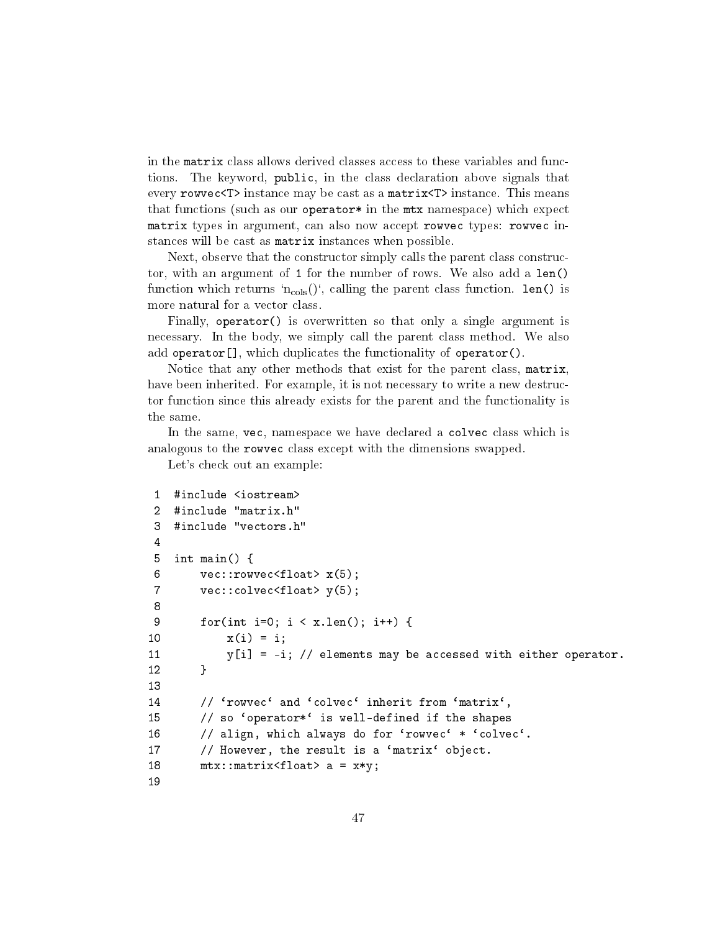in the matrix class allows derived classes access to these variables and functions. The keyword, public, in the class declaration above signals that every rowvec<T> instance may be cast as a matrix<T> instance. This means that functions (such as our operator  $*$  in the mtx namespace) which expect matrix types in argument, can also now accept rowvec types: rowvec instances will be cast as matrix instances when possible.

Next, observe that the constructor simply calls the parent class constructor, with an argument of 1 for the number of rows. We also add a len() function which returns 'n<sub>cols</sub>()', calling the parent class function. len() is more natural for a vector class.

Finally, operator() is overwritten so that only a single argument is necessary. In the body, we simply call the parent class method. We also add operator[], which duplicates the functionality of operator().

Notice that any other methods that exist for the parent class, matrix, have been inherited. For example, it is not necessary to write a new destructor function since this already exists for the parent and the functionality is the same.

In the same, vec, namespace we have declared a colvec class which is analogous to the rowvec class except with the dimensions swapped.

Let's check out an example:

```
1 #include <iostream>
2 #include "matrix.h"
3 #include "vectors.h"
4
5 int main() {
6 vec::rowvecfloat> x(5);
7 vec::colvec<float> y(5);
8
9 for(int i=0; i < x.len(); i++) {
10 x(i) = i;11 y[i] = -i; // elements may be accessed with either operator.
12 }
13
14 // 'rowvec' and 'colvec' inherit from 'matrix',
15 // so 'operator*' is well-defined if the shapes
16 // align, which always do for 'rowvec' * 'colvec'.
17 // However, the result is a 'matrix' object.
18 mx:matrix/fload> a = x*y;19
```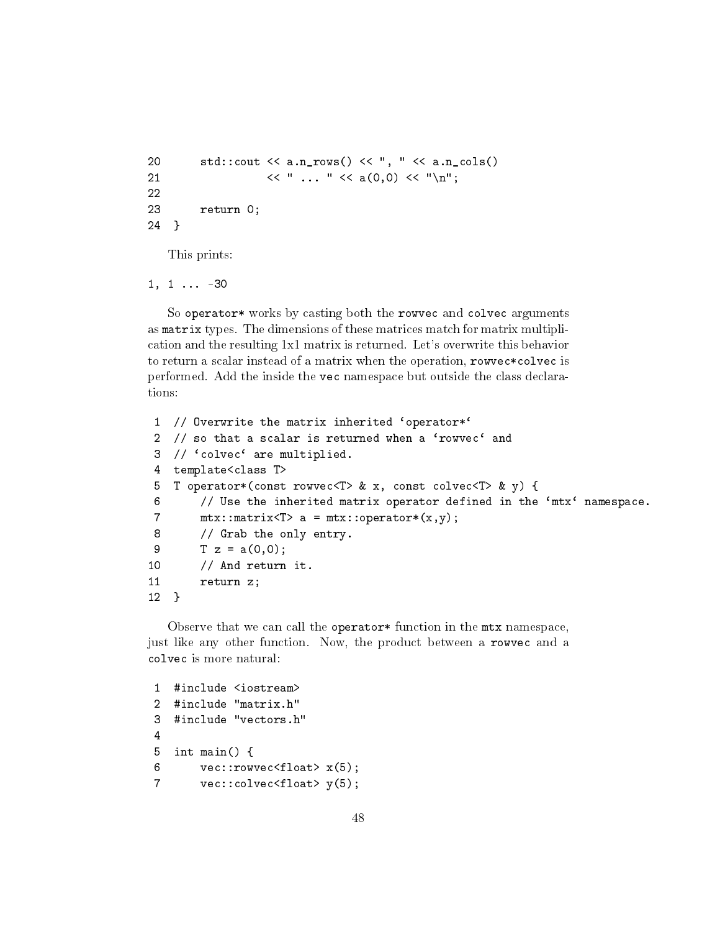```
20 std::cout << a.n_rows() << ", " << a.n_cols()
21 << " ... " << a(0,0) << " \n\quad22
23 return 0;
24 }
```
This prints:

 $1, 1 \ldots -30$ 

So operator\* works by casting both the rowvec and colvec arguments as matrix types. The dimensions of these matrices match for matrix multiplication and the resulting 1x1 matrix is returned. Let's overwrite this behavior to return a scalar instead of a matrix when the operation, rowvec\*colvec is performed. Add the inside the vec namespace but outside the class declarations:

```
1 // Overwrite the matrix inherited 'operator*'
2 // so that a scalar is returned when a 'rowvec' and
3 // 'colvec' are multiplied.
4 template<class T>
5 T operator*(const rowvec<T> & x, const colvec<T> & y) {
6 // Use the inherited matrix operator defined in the `mtx` namespace.
7 mtx::matrix(T > a = mtx::operator*(x,y);8 // Grab the only entry.
9 T z = a(0,0);10 // And return it.
11 return z;
12 }
```
Observe that we can call the operator\* function in the mtx namespace, just like any other function. Now, the product between a rowvec and a colvec is more natural:

```
1 #include <iostream>
2 #include "matrix.h"
3 #include "vectors.h"
4
5 int main() {
6 vec::rowvecfloat> x(5);
7 vec::colvec<float> y(5);
```